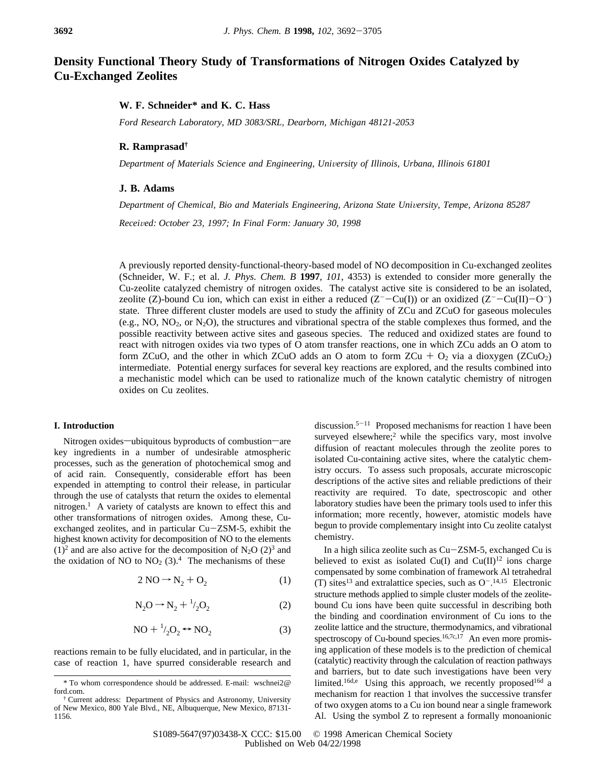# **Density Functional Theory Study of Transformations of Nitrogen Oxides Catalyzed by Cu-Exchanged Zeolites**

## **W. F. Schneider\* and K. C. Hass**

*Ford Research Laboratory, MD 3083/SRL, Dearborn, Michigan 48121-2053*

# **R. Ramprasad†**

Department of Materials Science and Engineering, University of Illinois, Urbana, Illinois 61801

### **J. B. Adams**

Department of Chemical, Bio and Materials Engineering, Arizona State University, Tempe, Arizona 85287

*Recei*V*ed: October 23, 1997; In Final Form: January 30, 1998*

A previously reported density-functional-theory-based model of NO decomposition in Cu-exchanged zeolites (Schneider, W. F.; et al. *J. Phys. Chem. B* **1997**, *101*, 4353) is extended to consider more generally the Cu-zeolite catalyzed chemistry of nitrogen oxides. The catalyst active site is considered to be an isolated, zeolite (Z)-bound Cu ion, which can exist in either a reduced ( $Z^-$ -Cu(I)) or an oxidized ( $Z^-$ -Cu(II)-O<sup>-</sup>) state. Three different cluster models are used to study the affinity of ZCu and ZCuO for gaseous molecules (e.g., NO, NO<sub>2</sub>, or N<sub>2</sub>O), the structures and vibrational spectra of the stable complexes thus formed, and the possible reactivity between active sites and gaseous species. The reduced and oxidized states are found to react with nitrogen oxides via two types of O atom transfer reactions, one in which ZCu adds an O atom to form ZCuO, and the other in which ZCuO adds an O atom to form  $ZCu + O_2$  via a dioxygen (ZCuO<sub>2</sub>) intermediate. Potential energy surfaces for several key reactions are explored, and the results combined into a mechanistic model which can be used to rationalize much of the known catalytic chemistry of nitrogen oxides on Cu zeolites.

#### **I. Introduction**

Nitrogen oxides—ubiquitous byproducts of combustion—are key ingredients in a number of undesirable atmospheric processes, such as the generation of photochemical smog and of acid rain. Consequently, considerable effort has been expended in attempting to control their release, in particular through the use of catalysts that return the oxides to elemental nitrogen.1 A variety of catalysts are known to effect this and other transformations of nitrogen oxides. Among these, Cuexchanged zeolites, and in particular Cu-ZSM-5, exhibit the highest known activity for decomposition of NO to the elements  $(1)^2$  and are also active for the decomposition of N<sub>2</sub>O  $(2)^3$  and the oxidation of NO to  $NO<sub>2</sub>(3)$ .<sup>4</sup> The mechanisms of these

$$
2\,\text{NO} \rightarrow \text{N}_2 + \text{O}_2\tag{1}
$$

$$
N_2O \to N_2 + \frac{1}{2}O_2 \tag{2}
$$

$$
NO + \frac{1}{2}O_2 \leftrightarrow NO_2 \tag{3}
$$

reactions remain to be fully elucidated, and in particular, in the case of reaction 1, have spurred considerable research and

discussion.<sup>5-11</sup> Proposed mechanisms for reaction 1 have been surveyed elsewhere; $2$  while the specifics vary, most involve diffusion of reactant molecules through the zeolite pores to isolated Cu-containing active sites, where the catalytic chemistry occurs. To assess such proposals, accurate microscopic descriptions of the active sites and reliable predictions of their reactivity are required. To date, spectroscopic and other laboratory studies have been the primary tools used to infer this information; more recently, however, atomistic models have begun to provide complementary insight into Cu zeolite catalyst chemistry.

In a high silica zeolite such as Cu-ZSM-5, exchanged Cu is believed to exist as isolated Cu(I) and Cu(II)<sup>12</sup> ions charge compensated by some combination of framework Al tetrahedral (T) sites<sup>13</sup> and extralattice species, such as  $O^{-14,15}$  Electronic structure methods applied to simple cluster models of the zeolitebound Cu ions have been quite successful in describing both the binding and coordination environment of Cu ions to the zeolite lattice and the structure, thermodynamics, and vibrational spectroscopy of Cu-bound species.<sup>16,7c,17</sup> An even more promising application of these models is to the prediction of chemical (catalytic) reactivity through the calculation of reaction pathways and barriers, but to date such investigations have been very limited.<sup>16d,e</sup> Using this approach, we recently proposed<sup>16d</sup> a mechanism for reaction 1 that involves the successive transfer of two oxygen atoms to a Cu ion bound near a single framework Al. Using the symbol Z to represent a formally monoanionic

<sup>\*</sup> To whom correspondence should be addressed. E-mail: wschnei2@ ford.com.

<sup>†</sup> Current address: Department of Physics and Astronomy, University of New Mexico, 800 Yale Blvd., NE, Albuquerque, New Mexico, 87131- 1156.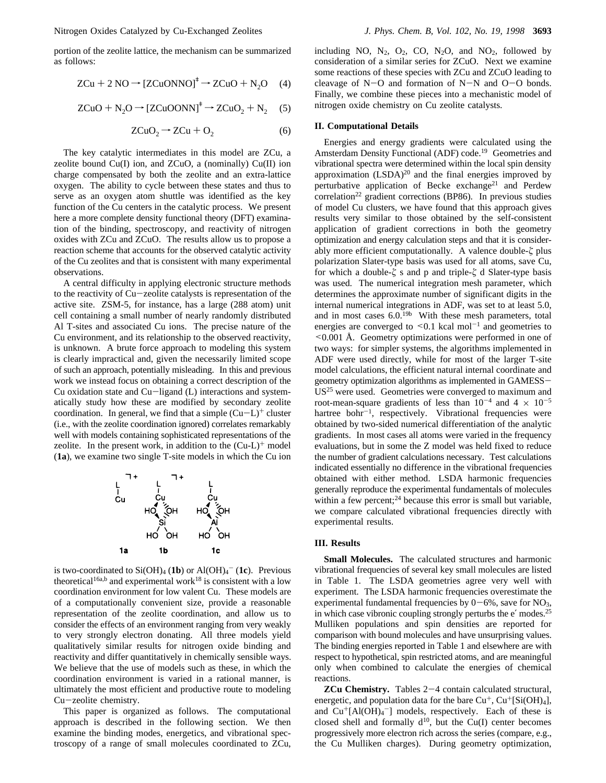portion of the zeolite lattice, the mechanism can be summarized as follows:

$$
ZCu + 2 NO \rightarrow [ZCuONNO]^{\dagger} \rightarrow ZCuO + N_2O \quad (4)
$$

$$
ZCuO + N_2O \rightarrow [ZCuOONN]^{\dagger} \rightarrow ZCuO_2 + N_2 \quad (5)
$$

$$
ZCuO_2 \rightarrow ZCu + O_2 \tag{6}
$$

The key catalytic intermediates in this model are ZCu, a zeolite bound  $Cu(I)$  ion, and  $ZCuO$ , a (nominally)  $Cu(II)$  ion charge compensated by both the zeolite and an extra-lattice oxygen. The ability to cycle between these states and thus to serve as an oxygen atom shuttle was identified as the key function of the Cu centers in the catalytic process. We present here a more complete density functional theory (DFT) examination of the binding, spectroscopy, and reactivity of nitrogen oxides with ZCu and ZCuO. The results allow us to propose a reaction scheme that accounts for the observed catalytic activity of the Cu zeolites and that is consistent with many experimental observations.

A central difficulty in applying electronic structure methods to the reactivity of Cu-zeolite catalysts is representation of the active site. ZSM-5, for instance, has a large (288 atom) unit cell containing a small number of nearly randomly distributed Al T-sites and associated Cu ions. The precise nature of the Cu environment, and its relationship to the observed reactivity, is unknown. A brute force approach to modeling this system is clearly impractical and, given the necessarily limited scope of such an approach, potentially misleading. In this and previous work we instead focus on obtaining a correct description of the Cu oxidation state and Cu-ligand (L) interactions and systematically study how these are modified by secondary zeolite coordination. In general, we find that a simple  $(Cu-L)^+$  cluster (i.e., with the zeolite coordination ignored) correlates remarkably well with models containing sophisticated representations of the zeolite. In the present work, in addition to the  $(Cu-L)^+$  model (**1a**), we examine two single T-site models in which the Cu ion



is two-coordinated to  $Si(OH)_4 (1b)$  or  $Al(OH)_4^-(1c)$ . Previous theoretical<sup>16a,b</sup> and experimental work<sup>18</sup> is consistent with a low coordination environment for low valent Cu. These models are of a computationally convenient size, provide a reasonable representation of the zeolite coordination, and allow us to consider the effects of an environment ranging from very weakly to very strongly electron donating. All three models yield qualitatively similar results for nitrogen oxide binding and reactivity and differ quantitatively in chemically sensible ways. We believe that the use of models such as these, in which the coordination environment is varied in a rational manner, is ultimately the most efficient and productive route to modeling Cu-zeolite chemistry.

This paper is organized as follows. The computational approach is described in the following section. We then examine the binding modes, energetics, and vibrational spectroscopy of a range of small molecules coordinated to ZCu,

including NO,  $N_2$ ,  $O_2$ ,  $CO$ ,  $N_2O$ , and  $NO_2$ , followed by consideration of a similar series for ZCuO. Next we examine some reactions of these species with ZCu and ZCuO leading to cleavage of  $N-O$  and formation of  $N-N$  and  $O-O$  bonds. Finally, we combine these pieces into a mechanistic model of nitrogen oxide chemistry on Cu zeolite catalysts.

#### **II. Computational Details**

Energies and energy gradients were calculated using the Amsterdam Density Functional (ADF) code.<sup>19</sup> Geometries and vibrational spectra were determined within the local spin density approximation  $(LSDA)^{20}$  and the final energies improved by perturbative application of Becke exchange<sup>21</sup> and Perdew correlation<sup>22</sup> gradient corrections (BP86). In previous studies of model Cu clusters, we have found that this approach gives results very similar to those obtained by the self-consistent application of gradient corrections in both the geometry optimization and energy calculation steps and that it is considerably more efficient computationally. A valence double-*ú* plus polarization Slater-type basis was used for all atoms, save Cu, for which a double-*ú* s and p and triple-*ú* d Slater-type basis was used. The numerical integration mesh parameter, which determines the approximate number of significant digits in the internal numerical integrations in ADF, was set to at least 5.0, and in most cases 6.0.<sup>19b</sup> With these mesh parameters, total energies are converged to  $\leq 0.1$  kcal mol<sup>-1</sup> and geometries to  $\leq 0.001$  Å. Geometry optimizations were performed in one of two ways: for simpler systems, the algorithms implemented in ADF were used directly, while for most of the larger T-site model calculations, the efficient natural internal coordinate and geometry optimization algorithms as implemented in GAMESS-US25 were used. Geometries were converged to maximum and root-mean-square gradients of less than  $10^{-4}$  and  $4 \times 10^{-5}$ hartree bohr<sup>-1</sup>, respectively. Vibrational frequencies were obtained by two-sided numerical differentiation of the analytic gradients. In most cases all atoms were varied in the frequency evaluations, but in some the Z model was held fixed to reduce the number of gradient calculations necessary. Test calculations indicated essentially no difference in the vibrational frequencies obtained with either method. LSDA harmonic frequencies generally reproduce the experimental fundamentals of molecules within a few percent;<sup>24</sup> because this error is small but variable, we compare calculated vibrational frequencies directly with experimental results.

## **III. Results**

**Small Molecules.** The calculated structures and harmonic vibrational frequencies of several key small molecules are listed in Table 1. The LSDA geometries agree very well with experiment. The LSDA harmonic frequencies overestimate the experimental fundamental frequencies by  $0-6\%$ , save for NO<sub>3</sub>, in which case vibronic coupling strongly perturbs the e′ modes.25 Mulliken populations and spin densities are reported for comparison with bound molecules and have unsurprising values. The binding energies reported in Table 1 and elsewhere are with respect to hypothetical, spin restricted atoms, and are meaningful only when combined to calculate the energies of chemical reactions.

**ZCu Chemistry.** Tables 2-4 contain calculated structural, energetic, and population data for the bare  $Cu^+$ ,  $Cu^+[Si(OH)_4]$ , and  $Cu^+[Al(OH)_4^-]$  models, respectively. Each of these is closed shell and formally  $d^{10}$ , but the Cu(I) center becomes progressively more electron rich across the series (compare, e.g., the Cu Mulliken charges). During geometry optimization,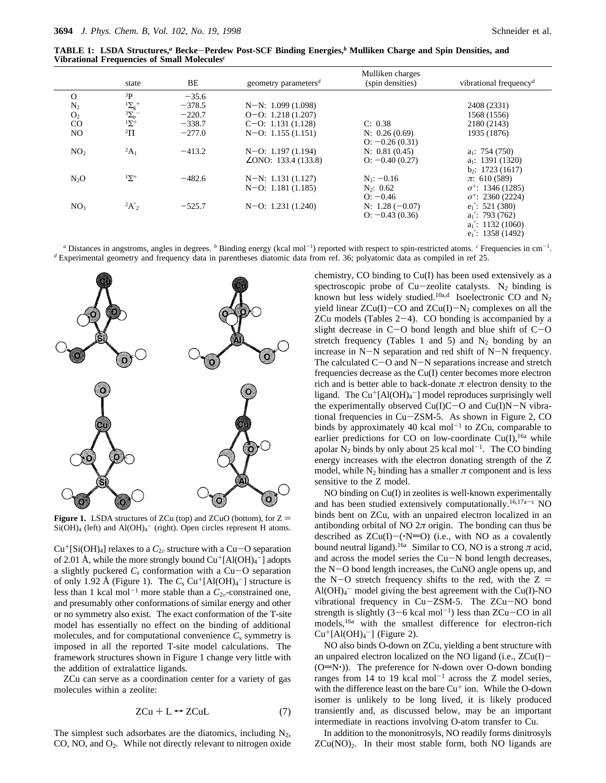**TABLE 1: LSDA Structures,***<sup>a</sup>* **Becke**-**Perdew Post-SCF Binding Energies,***<sup>b</sup>* **Mulliken Charge and Spin Densities, and Vibrational Frequencies of Small Molecules***<sup>c</sup>*

|                 | state                            | BE       | geometry parameters <sup>d</sup>                     | Mulliken charges<br>(spin densities)        | vibrational frequency <sup>d</sup>                                                   |
|-----------------|----------------------------------|----------|------------------------------------------------------|---------------------------------------------|--------------------------------------------------------------------------------------|
| $\Omega$        | $^{3}P$                          | $-35.6$  |                                                      |                                             |                                                                                      |
| $N_2$           |                                  | $-378.5$ | $N-N: 1.099(1.098)$                                  |                                             | 2408 (2331)                                                                          |
| O <sub>2</sub>  | $^1\Sigma_g^+$<br>$^3\Sigma_u^-$ | $-220.7$ | $O-O: 1.218(1.207)$                                  |                                             | 1568 (1556)                                                                          |
| CO              | $1\Sigma^+$                      | $-338.7$ | $C-O: 1.131(1.128)$                                  | C: 0.38                                     | 2180 (2143)                                                                          |
| N <sub>O</sub>  | $^{2}\Pi$                        | $-277.0$ | $N=O$ : 1.155 (1.151)                                | N: 0.26(0.69)<br>$O: -0.26(0.31)$           | 1935 (1876)                                                                          |
| NO <sub>2</sub> | ${}^2A_1$                        | $-413.2$ | $N=O$ : 1.197 (1.194)<br>$\angle$ ONO: 133.4 (133.8) | N: 0.81(0.45)<br>$O: -0.40(0.27)$           | $a_1$ : 754 (750)<br>$a_1$ : 1391 (1320)<br>b <sub>2</sub> : $1723(1617)$            |
| $N_2O$          | $1\Sigma^+$                      | $-482.6$ | $N-N: 1.131(1.127)$<br>$N-O: 1.181(1.185)$           | $N_1$ : -0.16<br>$N_2$ : 0.62<br>$Q: -0.46$ | $\pi$ : 610 (589)<br>$\sigma^+$ : 1346 (1285)<br>$\sigma^+$ : 2360 (2224)            |
| NO <sub>3</sub> | ${}^2A_2'$                       | $-525.7$ | $N=O$ : 1.231 (1.240)                                | N: $1.28(-0.07)$<br>$O: -0.43(0.36)$        | $e_1$ : 521 (380)<br>$a_1$ : 793 (762)<br>$a_1$ : 1132 (1060)<br>$e_1$ : 1358 (1492) |

<sup>*a*</sup> Distances in angstroms, angles in degrees. *b* Binding energy (kcal mol<sup>-1</sup>) reported with respect to spin-restricted atoms. <sup>*c*</sup> Frequencies in cm<sup>-1</sup>.<br><sup>*d*</sup> Experimental geometry and frequency data in parentheses



**Figure 1.** LSDA structures of ZCu (top) and ZCuO (bottom), for  $Z =$  $Si(OH)<sub>4</sub>$  (left) and  $Al(OH)<sub>4</sub>$ <sup>-</sup> (right). Open circles represent H atoms.

 $Cu$ <sup>+</sup>[Si(OH)<sub>4</sub>] relaxes to a  $C_{2v}$  structure with a Cu–O separation of 2.01 Å, while the more strongly bound  $Cu^+[Al(OH)_4^-]$  adopts a slightly puckered  $C_s$  conformation with a  $Cu-O$  separation of only 1.92 Å (Figure 1). The  $C_s$   $Cu^+[Al(OH)_4^-]$  structure is less than 1 kcal mol<sup>-1</sup> more stable than a  $C_{2v}$ -constrained one, and presumably other conformations of similar energy and other or no symmetry also exist. The exact conformation of the T-site model has essentially no effect on the binding of additional molecules, and for computational convenience  $C_s$  symmetry is imposed in all the reported T-site model calculations. The framework structures shown in Figure 1 change very little with the addition of extralattice ligands.

ZCu can serve as a coordination center for a variety of gas molecules within a zeolite:

$$
ZCu + L \leftrightarrow ZCuL \tag{7}
$$

The simplest such adsorbates are the diatomics, including  $N_2$ ,  $CO$ , NO, and  $O<sub>2</sub>$ . While not directly relevant to nitrogen oxide

chemistry, CO binding to Cu(I) has been used extensively as a spectroscopic probe of Cu-zeolite catalysts. N<sub>2</sub> binding is known but less widely studied.<sup>10a,d</sup> Isoelectronic CO and  $N_2$ yield linear  $ZCu(I)-CO$  and  $ZCu(I)-N_2$  complexes on all the ZCu models (Tables  $2-4$ ). CO bonding is accompanied by a slight decrease in  $C$ -O bond length and blue shift of  $C$ -O stretch frequency (Tables 1 and 5) and  $N_2$  bonding by an increase in N-N separation and red shift of N-N frequency. The calculated  $C-O$  and  $N-N$  separations increase and stretch frequencies decrease as the Cu(I) center becomes more electron rich and is better able to back-donate  $\pi$  electron density to the ligand. The Cu<sup>+</sup>[Al(OH)<sub>4</sub><sup>-</sup>] model reproduces surprisingly well the experimentally observed  $Cu(I)C-O$  and  $Cu(I)N-N$  vibrational frequencies in Cu-ZSM-5. As shown in Figure 2, CO binds by approximately 40 kcal mol<sup>-1</sup> to ZCu, comparable to earlier predictions for CO on low-coordinate  $Cu(I),$ <sup>16a</sup> while apolar  $N_2$  binds by only about 25 kcal mol<sup>-1</sup>. The CO binding energy increases with the electron donating strength of the Z model, while  $N_2$  binding has a smaller  $\pi$  component and is less sensitive to the Z model.

NO binding on Cu(I) in zeolites is well-known experimentally and has been studied extensively computationally.<sup>16,17a-c</sup> NO binds bent on ZCu, with an unpaired electron localized in an antibonding orbital of NO  $2\pi$  origin. The bonding can thus be described as  $ZCu(I)$ -( $\cdot$ N=O) (i.e., with NO as a covalently bound neutral ligand).<sup>16a</sup> Similar to CO, NO is a strong  $\pi$  acid, and across the model series the Cu-N bond length decreases, the N-O bond length increases, the CuNO angle opens up, and the N-O stretch frequency shifts to the red, with the  $Z =$  $Al(OH)<sub>4</sub>$ <sup>-</sup> model giving the best agreement with the Cu(I)-NO vibrational frequency in Cu-ZSM-5. The ZCu-NO bond strength is slightly  $(3-6 \text{ kcal mol}^{-1})$  less than ZCu-CO in all models,<sup>16a</sup> with the smallest difference for electron-rich  $Cu^+[Al(OH)_4^-]$  (Figure 2).

NO also binds O-down on ZCu, yielding a bent structure with an unpaired electron localized on the NO ligand (i.e., ZCu(I)-  $(O=N<sub>Y</sub>)$ . The preference for N-down over O-down bonding ranges from 14 to 19 kcal mol<sup>-1</sup> across the Z model series, with the difference least on the bare  $Cu<sup>+</sup>$  ion. While the O-down isomer is unlikely to be long lived, it is likely produced transiently and, as discussed below, may be an important intermediate in reactions involving O-atom transfer to Cu.

In addition to the mononitrosyls, NO readily forms dinitrosyls  $ZCu(NO)_2$ . In their most stable form, both NO ligands are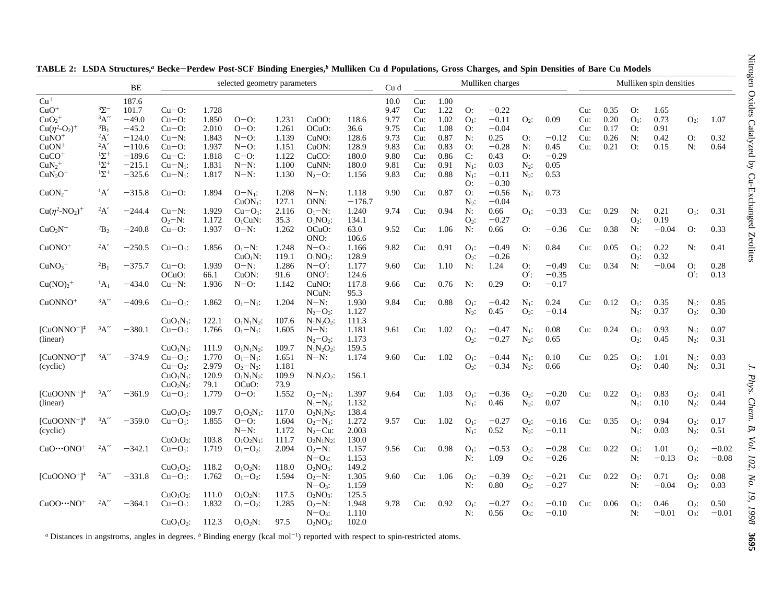| I<br>$\overline{\phantom{a}}$     |
|-----------------------------------|
|                                   |
| received control control into     |
|                                   |
| ⁄ Cu-E∧cidigeu Zeolites<br>)<br>I |
|                                   |

 $\overline{\phantom{0}}$ 

|                            | selected geometry parameters<br>BE |          |            |       |               |       |               | Mulliken charges<br>Mulliken spin densities<br>Cu d |      |        |      |         |         |         |         |        |      |         |         |         |         |
|----------------------------|------------------------------------|----------|------------|-------|---------------|-------|---------------|-----------------------------------------------------|------|--------|------|---------|---------|---------|---------|--------|------|---------|---------|---------|---------|
| $Cu+$                      |                                    | 187.6    |            |       |               |       |               |                                                     | 10.0 | $Cu$ : | 1.00 |         |         |         |         |        |      |         |         |         |         |
| $CuO+$                     | $3\Sigma^-$                        | 101.7    | $Cu-O:$    | 1.728 |               |       |               |                                                     | 9.47 | Cu:    | 1.22 | О:      | $-0.22$ |         |         | Cu:    | 0.35 | О:      | 1.65    |         |         |
| $CuO2+$                    | 3A''                               | $-49.0$  | $Cu-O:$    | 1.850 | $O - O$ :     | 1.231 | CuOO:         | 118.6                                               | 9.77 | Cu:    | 1.02 | $O1$ :  | $-0.11$ | $O_2$ : | 0.09    | Cu:    | 0.20 | $O1$ :  | 0.73    | $O_2$ : | 1.07    |
| $Cu(η2-O2)+$               | ${}^3B_1$                          | $-45.2$  | $Cu-O:$    | 2.010 | $O - O$ :     | 1.261 | OCuO:         | 36.6                                                | 9.75 | Cu:    | 1.08 | O:      | $-0.04$ |         |         | Cu:    | 0.17 | O:      | 0.91    |         |         |
| $CuNO+$                    | $^{2}A'$                           | $-124.0$ | $Cu-N$ :   | 1.843 | $N=O$ :       | 1.139 | CuNO:         | 128.6                                               | 9.73 | Cu:    | 0.87 | N:      | 0.25    | O:      | $-0.12$ | Cu:    | 0.26 | N:      | 0.42    | O:      | 0.32    |
| $CuON+$                    | $^{2}A'$                           | $-110.6$ | $Cu-O:$    | 1.937 | $N=O$ :       | 1.151 | CuON:         | 128.9                                               | 9.83 | Cu:    | 0.83 | O:      | $-0.28$ | N:      | 0.45    | Cu:    | 0.21 | O:      | 0.15    | N:      | 0.64    |
| $CuCO+$                    | $1\Sigma^+$                        | $-189.6$ | $Cu-C:$    | 1.818 | $C=O$ :       | 1.122 | CuCO:         | 180.0                                               | 9.80 | Cu:    | 0.86 | C:      | 0.43    | O:      | $-0.29$ |        |      |         |         |         |         |
| $CuN2+$                    | $1\Sigma^+$                        | $-215.1$ | $Cu-N_1$ : | 1.831 | $N-N$ :       | 1.100 | CuNN:         | 180.0                                               | 9.81 | Cu:    | 0.91 | $N_1$ : | 0.03    | $N_2$ : | 0.05    |        |      |         |         |         |         |
| $CuN2O+$                   | $1\Sigma^+$                        | $-325.6$ | $Cu-N_1$ : | 1.817 | $N-N$ :       | 1.130 | $N_2 = O$ :   | 1.156                                               | 9.83 | Cu:    | 0.88 | $N_1$ : | $-0.11$ | $N_2$ : | 0.53    |        |      |         |         |         |         |
|                            |                                    |          |            |       |               |       |               |                                                     |      |        |      | O:      | $-0.30$ |         |         |        |      |         |         |         |         |
| $CuON2+$                   | $\mathrm{^1A'}$                    | $-315.8$ | $Cu-O$ :   | 1.894 | $O-N_1$ :     | 1.208 | $N-N$ :       | 1.118                                               | 9.90 | Cu:    | 0.87 | O:      | $-0.56$ | $N_1$ : | 0.73    |        |      |         |         |         |         |
|                            |                                    |          |            |       | $CuON1$ :     | 127.1 | ONN:          | $-176.7$                                            |      |        |      | $N_2$ : | $-0.04$ |         |         |        |      |         |         |         |         |
| $Cu(\eta^2\text{-NO}_2)^+$ | 2A'                                | $-244.4$ | $Cu-N:$    | 1.929 | $Cu-O1$ :     | 2.116 | $O_1-N$ :     | 1.240                                               | 9.74 | Cu:    | 0.94 | N:      | 0.66    | $O_1$ : | $-0.33$ | Cu:    | 0.29 | N:      | 0.21    | $O_1$ : | 0.31    |
|                            |                                    |          | $O_2-N$ :  | 1.172 | $O_1CuN$ :    | 35.3  | $O_1NO_2$ :   | 134.1                                               |      |        |      | $O2$ :  | $-0.27$ |         |         |        |      | $O2$ :  | 0.19    |         |         |
| $CuO2N+$                   | $^{2}B_{2}$                        | $-240.8$ | $Cu-O:$    | 1.937 | $O-N$ :       | 1.262 | OCuO:         | 63.0                                                | 9.52 | Cu:    | 1.06 | N:      | 0.66    | O:      | $-0.36$ | Cu:    | 0.38 | N:      | $-0.04$ | O:      | 0.33    |
|                            |                                    |          |            |       |               |       | ONO:          | 106.6                                               |      |        |      |         |         |         |         |        |      |         |         |         |         |
| $CuONO+$                   | $^{2}A'$                           | $-250.5$ | $Cu-O1$ :  | 1.856 | $O_1-N$ :     | 1.248 | $N=O_2$ :     | 1.166                                               | 9.82 | Cu:    | 0.91 | $O1$ :  | $-0.49$ | N:      | 0.84    | Cu:    | 0.05 | $O_1$ : | 0.22    | N:      | 0.41    |
|                            |                                    |          |            |       | $CuO1N$ :     | 119.1 | $O_1NO_2$ :   | 128.9                                               |      |        |      | $O_2$ : | $-0.26$ |         |         |        |      | $O_2$ : | 0.32    |         |         |
| $CuNO3$ <sup>+</sup>       | ${}^{2}B_1$                        | $-375.7$ | $Cu-O:$    | 1.939 | $O-N$ :       | 1.286 | $N-O'$ :      | 1.177                                               | 9.60 | Cu:    | 1.10 | N:      | 1.24    | O:      | $-0.49$ | Cu:    | 0.34 | N:      | $-0.04$ | O:      | 0.28    |
|                            |                                    |          | OCuO:      | 66.1  | CuON:         | 91.6  | ONO':         | 124.6                                               |      |        |      |         |         | $O'$ :  | $-0.35$ |        |      |         |         | $O'$ :  | 0.13    |
| $Cu(NO)2$ <sup>+</sup>     | $\mathbf{A}_1$                     | $-434.0$ | $Cu-N$ :   | 1.936 | $N=O$ :       | 1.142 | CuNO:         | 117.8                                               | 9.66 | Cu:    | 0.76 | N:      | 0.29    | O:      | $-0.17$ |        |      |         |         |         |         |
|                            |                                    |          |            |       |               |       | NCuN:         | 95.3                                                |      |        |      |         |         |         |         |        |      |         |         |         |         |
| $CuONNO+$                  | $\mathrm{^3A}''$                   | $-409.6$ | $Cu-O1$ :  | 1.862 | $O_1 - N_1$ : | 1.204 | $N-N$ :       | 1.930                                               | 9.84 | Cu:    | 0.88 | $O_1$ : | $-0.42$ | $N_1$ : | 0.24    | Cu:    | 0.12 | $O1$ :  | 0.35    | $N_1$ : | 0.85    |
|                            |                                    |          |            |       |               |       | $N_2 = O_2$ : | 1.127                                               |      |        |      | $N_2$ : | 0.45    | $O_2$ : | $-0.14$ |        |      | $N_2$ : | 0.37    | $O_2$ : | 0.30    |
|                            |                                    |          | $CuO1N1$ : | 122.1 | $O_1N_1N_2$ : | 107.6 | $N_1N_2O_2$ : | 111.3                                               |      |        |      |         |         |         |         |        |      |         |         |         |         |
| $[CuONNO^+]^*$             | $\mathbf{A}^{\prime\prime}$        | $-380.1$ | $Cu-O1$ :  | 1.766 | $O_1 - N_1$ : | 1.605 | $N-N$ :       | 1.181                                               | 9.61 | Cu:    | 1.02 | $O1$ :  | $-0.47$ | $N_1$ : | 0.08    | $Cu$ : | 0.24 | $O1$ :  | 0.93    | $N_1$ : | 0.07    |
| (linear)                   |                                    |          |            |       |               |       | $N_2 = O_2$ : | 1.173                                               |      |        |      | $O_2$ : | $-0.27$ | $N_2$ : | 0.65    |        |      | $O_2$ : | 0.45    | $N_2$ : | 0.31    |
|                            |                                    |          | $CuO1N1$ : | 111.9 | $O_1N_1N_2$ : | 109.7 | $N_1N_2O_2$ : | 159.5                                               |      |        |      |         |         |         |         |        |      |         |         |         |         |
| $[CuONNO^+]^*$             | $\mathrm{^3A}''$                   | $-374.9$ | $Cu-O1$ :  | 1.770 | $O_1 - N_1$ : | 1.651 | $N-N$ :       | 1.174                                               | 9.60 | Cu:    | 1.02 | $O1$ :  | $-0.44$ | $N_1$ : | 0.10    | Cu:    | 0.25 | $O1$ :  | 1.01    | $N_1$ : | 0.03    |
| (cyclic)                   |                                    |          | $Cu-O2$ :  | 2.979 | $O_2-N_2$ :   | 1.181 |               |                                                     |      |        |      | $O_2$ : | $-0.34$ | $N_2$ : | 0.66    |        |      | $O2$ :  | 0.40    | $N_2$ : | 0.31    |
|                            |                                    |          | $CuO1N1$ : | 120.9 | $O_1N_1N_2$ : | 109.9 | $N_1N_2O_2$ : | 156.1                                               |      |        |      |         |         |         |         |        |      |         |         |         |         |
|                            |                                    |          | $CuO2N2$ : | 79.1  | OCuO:         | 73.9  |               |                                                     |      |        |      |         |         |         |         |        |      |         |         |         |         |
| $[CuOONN^+]^*$             | 3A''                               | $-361.9$ | $Cu-O1$ :  | 1.779 | $O-O$ :       | 1.552 | $O_2-N_1$ :   | 1.397                                               | 9.64 | Cu:    | 1.03 | $O_1$ : | $-0.36$ | $O_2$ : | $-0.20$ | Cu:    | 0.22 | $O1$ :  | 0.83    | $O_2$ : | 0.41    |
| (linear)                   |                                    |          |            |       |               |       | $N_1 - N_2$ : | 1.132                                               |      |        |      | $N_1$ : | 0.46    | $N_2$ : | 0.07    |        |      | $N_1$ : | 0.10    | $N_2$ : | 0.44    |
|                            |                                    |          | $CuO1O2$ : | 109.7 | $O_1O_2N_1$ : | 117.0 | $O_2N_1N_2$ : | 138.4                                               |      |        |      |         |         |         |         |        |      |         |         |         |         |
| $[CuOONN^+]^*$             | $\mathrm{^3A}''$                   | $-359.0$ | $Cu-O1$ :  | 1.855 | $O-O$ :       | 1.604 | $O_2-N_1$ :   | 1.272                                               | 9.57 | Cu:    | 1.02 | $O_1$ : | $-0.27$ | $O_2$ : | $-0.16$ | Cu:    | 0.35 | $O_1$ : | 0.94    | $O_2$ : | 0.17    |
| (cyclic)                   |                                    |          |            |       | $N-N$ :       | 1.172 | $N_2$ –Cu:    | 2.003                                               |      |        |      | $N_1$ : | 0.52    | $N_2$ : | $-0.11$ |        |      | $N_1$ : | 0.03    | $N_2$ : | 0.51    |
|                            |                                    |          | $CuO1O2$ : | 103.8 | $O_1O_2N_1$ : | 111.7 | $O_2N_1N_2$ : | 130.0                                               |      |        |      |         |         |         |         |        |      |         |         |         |         |
| $CuO\cdots ONO^+$          | 2A''                               | $-342.1$ | $Cu-O1$ :  | 1.719 | $O_1 - O_2$ : | 2.094 | $O_2-N$ :     | 1.157                                               | 9.56 | Cu:    | 0.98 | $O1$ :  | $-0.53$ | $O_2$ : | $-0.28$ | Cu:    | 0.22 | $O_1$ : | 1.01    | $O2$ :  | $-0.02$ |
|                            |                                    |          |            |       |               |       | $N=O_3$ :     | 1.153                                               |      |        |      | N:      | 1.09    | $O_3$ : | $-0.26$ |        |      | N:      | $-0.13$ | $O_3$ : | $-0.08$ |
|                            |                                    |          | $CuO1O2$ : | 118.2 | $O_1O_2N$ :   | 118.0 | $O2NO3$ :     | 149.2                                               |      |        |      |         |         |         |         |        |      |         |         |         |         |
| $[CuOONO^+]^*$             | 2A''                               | $-331.8$ | $Cu-O1$ :  | 1.762 | $O_1 - O_2$ : | 1.594 | $O2-N$ :      | 1.305                                               | 9.60 | Cu:    | 1.06 | $O_1$ : | $-0.39$ | $O_2$ : | $-0.21$ | Cu:    | 0.22 | $O_1$ : | 0.71    | $O_2$ : | 0.08    |
|                            |                                    |          |            |       |               |       | $N=O_3$ :     | 1.159                                               |      |        |      | N:      | 0.80    | $O_3$ : | $-0.27$ |        |      | N:      | $-0.04$ | $O_3$ : | 0.03    |
|                            |                                    |          | $CuO1O2$ : | 111.0 | $O_1O_2N$ :   | 117.5 | $O_2NO_3$ :   | 125.5                                               |      |        |      |         |         |         |         |        |      |         |         |         |         |
| $CuOO\cdots NO^{+}$        | 2A''                               | $-364.1$ | $Cu-O1$ :  | 1.832 | $O_1 - O_2$ : | 1.285 | $O_2-N$ :     | 1.948                                               | 9.78 | Cu:    | 0.92 | $O1$ :  | $-0.27$ | $O_2$ : | $-0.10$ | Cu:    | 0.06 | $O1$ :  | 0.46    | $O_2$ : | 0.50    |
|                            |                                    |          |            |       |               |       | $N=O_3$ :     | 1.110                                               |      |        |      | N:      | 0.56    | $O_3$ : | $-0.10$ |        |      | N:      | $-0.01$ | $O_3$ : | $-0.01$ |
|                            |                                    |          | $CuO1O2$ : | 112.3 | $O_1O_2N$ :   | 97.5  | $O_2NO_3$ :   | 102.0                                               |      |        |      |         |         |         |         |        |      |         |         |         |         |

|  |  | TABLE 2: LSDA Structures, <sup>a</sup> Becke-Perdew Post-SCF Binding Energies, <sup>b</sup> Mulliken Cu d Populations, Gross Charges, and Spin Densities of Bare Cu Models |  |  |  |
|--|--|----------------------------------------------------------------------------------------------------------------------------------------------------------------------------|--|--|--|
|  |  |                                                                                                                                                                            |  |  |  |

*a* Distances in angstroms, angles in degrees. *b* Binding energy (kcal mol<sup>-1</sup>) reported with respect to spin-restricted atoms.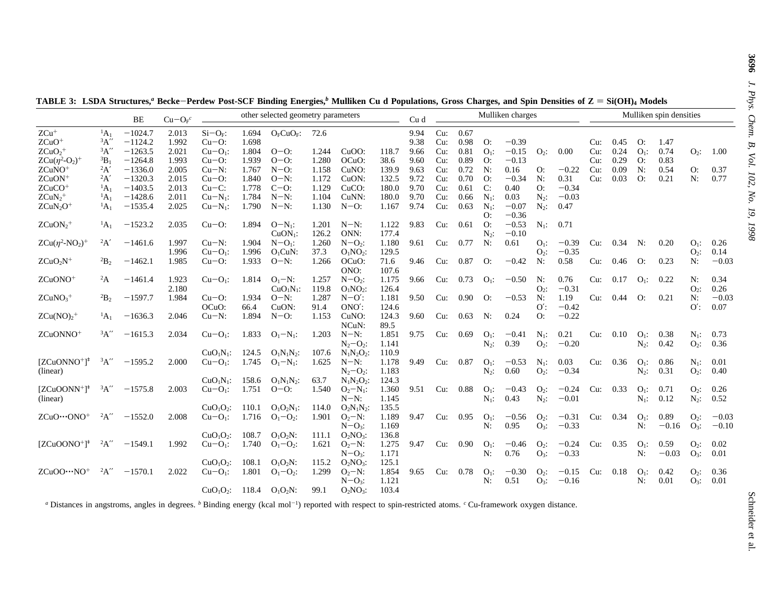| $ZCu$ <sup>+</sup><br>$ZCuO+$ | $\mathrm{^{1}A}_{1}$<br>$\mathrm{^3A}''$ | $-1024.7$<br>$-1124.2$ | 2.013<br>1.992 | $Si-O_F$ :<br>$Cu-O$ : | 1.694<br>1.698 | $O_F Cu O_F$ : | 72.6  |                                |                | 9.94<br>9.38 | Cu:<br>Cu: | 0.67<br>0.98 | O:            | $-0.39$            |                    |                 | Cu: | 0.45 | O:      | 1.47    |                |              |
|-------------------------------|------------------------------------------|------------------------|----------------|------------------------|----------------|----------------|-------|--------------------------------|----------------|--------------|------------|--------------|---------------|--------------------|--------------------|-----------------|-----|------|---------|---------|----------------|--------------|
| $ZCuO2$ <sup>+</sup>          | 3A''                                     | $-1263.5$              | 2.021          | $Cu-O1$ :              | 1.804          | $O-O$ :        | 1.244 | CuOO:                          | 118.7          | 9.66         | Cu:        | 0.81         | $O_1$ :       | $-0.15$            | $O_2$ :            | 0.00            | Cu: | 0.24 | $O1$ :  | 0.74    | $O_2$ :        | 1.00         |
| $ZCu(\eta^2-O_2)^+$           | ${}^3B_1$                                | $-1264.8$              | 1.993          | $Cu-O:$                | 1.939          | $O-O$ :        | 1.280 | OCuO:                          | 38.6           | 9.60         | Cu:        | 0.89         | O:            | $-0.13$            |                    |                 | Cu: | 0.29 | O:      | 0.83    |                |              |
| $ZCuNO+$                      | $^{2}A'$                                 | $-1336.0$              | 2.005          | $Cu-N$ :               | 1.767          | $N=O$ :        | 1.158 | CuNO:                          | 139.9          | 9.63         | Cu:        | 0.72         | N:            | 0.16               | О:                 | $-0.22$         | Cu: | 0.09 | N:      | 0.54    | O:             | 0.37         |
| $ZCuON+$                      | $^{2}A'$                                 | $-1320.3$              | 2.015          | $Cu-O$ :               | 1.840          | $O-N$ :        | 1.172 | CuON:                          | 132.5          | 9.72         | Cu:        | 0.70         | O:            | $-0.34$            | N:                 | 0.31            | Cu: | 0.03 | O:      | 0.21    | N:             | 0.77         |
| $ZCuCO+$                      | $\mathbf{A}_1$                           | $-1403.5$              | 2.013          | $Cu-C$ :               | 1.778          | $C=O$ :        | 1.129 | CuCO:                          | 180.0          | 9.70         | Cu:        | 0.61         | C:            | 0.40               | О:                 | $-0.34$         |     |      |         |         |                |              |
| $ZCuN_2$ <sup>+</sup>         | $\mathrm{^1A}_1$                         | $-1428.6$              | 2.011          | $Cu-N_1$ :             | 1.784          | $N-N$ :        | 1.104 | CuNN:                          | 180.0          | 9.70         | Cu:        | 0.66         | $N_1$ :       | 0.03               | $N_2$ :            | $-0.03$         |     |      |         |         |                |              |
| $ZCuN2O+$                     | $\mathrm{^1A_1}$                         | $-1535.4$              | 2.025          | $Cu-N1$ :              | 1.790          | $N-N$ :        | 1.130 | $N=O$ :                        | 1.167          | 9.74         | Cu:        | 0.63         | $N_1$ :<br>О: | $-0.07$<br>$-0.36$ | $N_2$ :            | 0.47            |     |      |         |         |                |              |
| $ZCuON2+$                     | $\mathbf{A}_1$                           | $-1523.2$              | 2.035          | $Cu-O:$                | 1.894          | $O-N_1$ :      | 1.201 | $N-N$ :                        | 1.122          | 9.83         | Cu:        | 0.61         | O:            | $-0.53$            | $N_1$ :            | 0.71            |     |      |         |         |                |              |
|                               |                                          |                        |                |                        |                | $CuON1$ :      | 126.2 | ONN:                           | 177.4          |              |            |              | $N_2$ :       | $-0.10$            |                    |                 |     |      |         |         |                |              |
| $ZCu(\eta^2-NO_2)^+$          | 2A'                                      | $-1461.6$              | 1.997          | $Cu-N$ :               | 1.904          | $N=O1$ :       | 1.260 | $N=O2$ :                       | 1.180          | 9.61         | Cu:        | 0.77         | N:            | 0.61               | $O1$ :             | $-0.39$         | Cu: | 0.34 | N:      | 0.20    | $O1$ :         | 0.26         |
|                               |                                          |                        | 1.996          | $Cu-O1$ :              | 1.996          | $O_1CuN$ :     | 37.3  | $O_1NO_2$ :                    | 129.5          |              |            |              |               |                    | $O2$ :             | $-0.35$         |     |      |         |         | $O_2$ :        | 0.14         |
| $ZCuO2N+$                     | ${}^2B_2$                                | $-1462.1$              | 1.985          | $Cu-O:$                | 1.933          | $O-N$ :        | 1.266 | OCuO:<br>ONO:                  | 71.6<br>107.6  | 9.46         | Cu:        | 0.87         | O:            | $-0.42$            | N:                 | 0.58            | Cu: | 0.46 | O:      | 0.23    | N:             | $-0.03$      |
| $ZCuONO+$                     | ${}^2A$                                  | $-1461.4$              | 1.923          | $Cu-O1$ :              | 1.814          | $O_1-N$ :      | 1.257 | $N=O2$ :                       | 1.175          | 9.66         | Cu:        | 0.73         | $O_1$ :       | $-0.50$            | N:                 | 0.76            | Cu: | 0.17 | $O_1$ : | 0.22    | N:             | 0.34         |
|                               |                                          |                        | 2.180          |                        |                | $CuO1N1$ :     | 119.8 | $O_1NO_2$ :                    | 126.4          |              |            |              |               |                    | $O2$ :             | $-0.31$         |     |      |         |         | $O2$ :         | 0.26         |
| $ZCuNO3$ <sup>+</sup>         | $^{2}B_{2}$                              | $-1597.7$              | 1.984          | $Cu-O:$                | 1.934          | $O-N$ :        | 1.287 | $N=0$ .                        | 1.181          | 9.50         | Cu:        | 0.90         | O:            | $-0.53$            | N:                 | 1.19            | Cu: | 0.44 | O:      | 0.21    | N:             | $-0.03$      |
|                               |                                          |                        |                | OCuO:                  | 66.4           | CuON:          | 91.4  | ONO <sup>'</sup> :             | 124.6          |              |            |              |               |                    | $O^{\prime}$ :     | $-0.42$         |     |      |         |         | $O^{\prime}$ : | 0.07         |
| $ZCu(NO)2+$                   | $\mathbf{A}_1$                           | $-1636.3$              | 2.046          | $Cu-N$ :               | 1.894          | $N=O$ :        | 1.153 | $CuNO$ :<br>NCuN:              | 124.3<br>89.5  | 9.60         | Cu:        | 0.63         | N:            | 0.24               | О:                 | $-0.22$         |     |      |         |         |                |              |
| $ZCuONNO+$                    | 3A''                                     | $-1615.3$              | 2.034          | $Cu-O1$ :              | 1.833          | $O_1 - N_1$ :  | 1.203 | $N-N$ :                        | 1.851          | 9.75         | Cu:        | 0.69         | $O_1$ :       | $-0.41$            | $N_1$ :            | 0.21            | Cu: | 0.10 | $O_1$ : | 0.38    | $N_1$ :        | 0.73         |
|                               |                                          |                        |                |                        |                |                |       | $N_2 = O_2$ :                  | 1.141          |              |            |              | $N_2$ :       | 0.39               | $O_2$ :            | $-0.20$         |     |      | $N_2$ : | 0.42    | $O_2$ :        | 0.36         |
| $[ZCuONNO^+]^+$               | A''                                      | $-1595.2$              |                | $CuO1N1$ :             | 124.5          | $O_1N_1N_2$ :  | 107.6 | $N_1N_2O_2$ :                  | 110.9          |              |            |              |               |                    |                    |                 |     |      |         |         |                |              |
|                               |                                          |                        | 2.000          | $Cu-O1$ :              | 1.745          | $O_1-N_1$ :    | 1.625 | $N-N$ :                        | 1.178<br>1.183 | 9.49         |            | Cu: 0.87     | $O_1$ :       | $-0.53$            | $N_1$ :<br>$O_2$ : | 0.03<br>$-0.34$ | Cu: | 0.36 | $O_1$ : | 0.86    | $N_1$ :        | 0.01<br>0.40 |
| (linear)                      |                                          |                        |                | $CuO1N1$ :             | 158.6          | $O_1N_1N_2$ :  | 63.7  | $N_2 = O_2$ :<br>$N_1N_2O_2$ : | 124.3          |              |            |              | $N_2$ :       | 0.60               |                    |                 |     |      | $N_2$ : | 0.31    | $O_2$ :        |              |
| $[ZCuOONN^+]^*$               | A''                                      | $-1575.8$              | 2.003          | $Cu-O1$ :              | 1.751          | $O-O$ :        | 1.540 | $O_2-N_1$ :                    | 1.360          | 9.51         |            | Cu: 0.88     | $O_1$ :       | $-0.43$            | $O_2$ :            | $-0.24$         | Cu: | 0.33 | $O1$ :  | 0.71    | $O_2$ :        | 0.26         |
| (linear)                      |                                          |                        |                |                        |                |                |       | $N-N$ :                        | 1.145          |              |            |              | $N_1$ :       | 0.43               | $N_2$ :            | $-0.01$         |     |      | $N_1$ : | 0.12    | $N_2$ :        | 0.52         |
|                               |                                          |                        |                | $CuO1O2$ :             | 110.1          | $O_1O_2N_1$ :  | 114.0 | $O_2N_1N_2$ :                  | 135.5          |              |            |              |               |                    |                    |                 |     |      |         |         |                |              |
| $ZCuO\cdots ONO^+$            | 2A''                                     | $-1552.0$              | 2.008          | $Cu-O1$ :              | 1.716          | $O_1 - O_2$ :  | 1.901 | $O2-N$ :                       | 1.189          | 9.47         |            | Cu: 0.95     | $O_1$ :       | $-0.56$            | $O2$ :             | $-0.31$         | Cu: | 0.34 | $O1$ :  | 0.89    | $O2$ :         | $-0.03$      |
|                               |                                          |                        |                |                        |                |                |       | $N=O_3$ :                      | 1.169          |              |            |              | N:            | 0.95               | $O_3$ :            | $-0.33$         |     |      | N:      | $-0.16$ | $O_3$ :        | $-0.10$      |
|                               |                                          |                        |                | $CuO1O2$ :             | 108.7          | $O_1O_2N$ :    | 111.1 | $O_2NO_3$ :                    | 136.8          |              |            |              |               |                    |                    |                 |     |      |         |         |                |              |
| $[ZCuOONO^+]^*$               | 2A''                                     | $-1549.1$              | 1.992          | $Cu-O1$ :              | 1.740          | $O_1 - O_2$ :  | 1.621 | $O_2-N$ :                      | 1.275          | 9.47         | Cu:        | 0.90         | $O_1$ :       | $-0.46$            | $O_2$ :            | $-0.24$         | Cu: | 0.35 | $O1$ :  | 0.59    | $O_2$ :        | 0.02         |
|                               |                                          |                        |                |                        |                |                |       | $N-O_3$ :                      | 1.171          |              |            |              | N:            | 0.76               | $O_3$ :            | $-0.33$         |     |      | N:      | $-0.03$ | $O_3$ :        | 0.01         |
|                               |                                          |                        |                | $CuO1O2$ :             | 108.1          | $O_1O_2N$ :    | 115.2 | $O_2NO_3$ :                    | 125.1          |              |            |              |               |                    |                    |                 |     |      |         |         |                |              |
| $ZCuOO\cdots NO^{+}$          | A''                                      | $-1570.1$              | 2.022          | $Cu-O1$ :              | 1.801          | $O_1 - O_2$ :  | 1.299 | $O_2-N$ :                      | 1.854          | 9.65         | Cu:        | 0.78         | $O_1$ :       | $-0.30$            | $O_2$ :            | $-0.15$         | Cu: | 0.18 | $O1$ :  | 0.42    | $O_2$ :        | 0.36         |
|                               |                                          |                        |                |                        |                |                |       | $N-O_3$ :                      | 1.121          |              |            |              | N:            | 0.51               | $O_3$ :            | $-0.16$         |     |      | N:      | 0.01    | $O_3$ :        | 0.01         |
|                               |                                          |                        |                | $CuO1O2$ :             | 118.4          | $O_1O_2N$ :    | 99.1  | $O_2NO_3$ :                    | 103.4          |              |            |              |               |                    |                    |                 |     |      |         |         |                |              |

|  |  |  |  |  |  | TABLE 3: LSDA Structures, <sup>a</sup> Becke-Perdew Post-SCF Binding Energies, <sup>b</sup> Mulliken Cu d Populations, Gross Charges, and Spin Densities of $Z = Si(OH)_4$ Models |  |
|--|--|--|--|--|--|-----------------------------------------------------------------------------------------------------------------------------------------------------------------------------------|--|
|  |  |  |  |  |  |                                                                                                                                                                                   |  |

other selected geometry parameters Mulliken charges Mulliken spin densities BE Cu-OF*<sup>c</sup>* Cu <sup>d</sup>

*a* Distances in angstroms, angles in degrees. *b* Binding energy (kcal mol<sup>-1</sup>) reported with respect to spin-restricted atoms. *c* Cu-framework oxygen distance.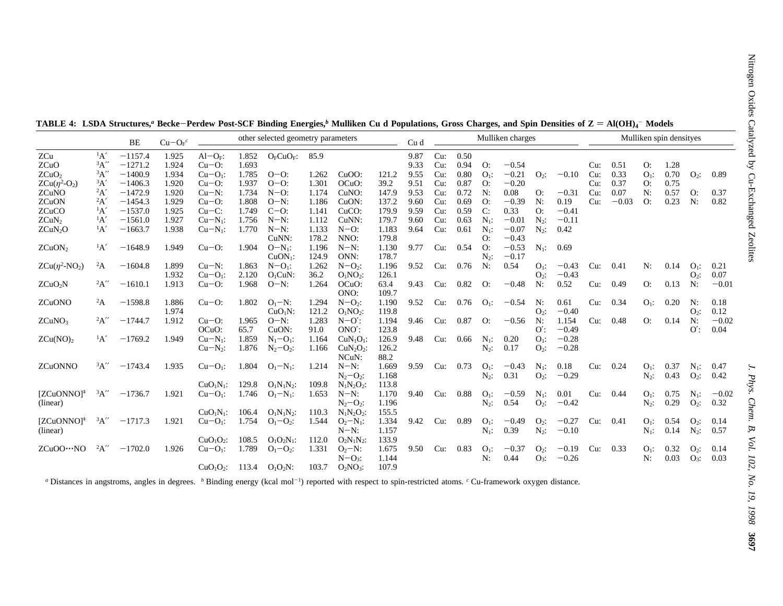|                        |                  | BE        | $Cu-OFc$ |            |       | other selected geometry parameters |       |                         |       | Cu d |     |      |           | Mulliken charges |         |         |     |         |         | Mulliken spin densityes |         |         |
|------------------------|------------------|-----------|----------|------------|-------|------------------------------------|-------|-------------------------|-------|------|-----|------|-----------|------------------|---------|---------|-----|---------|---------|-------------------------|---------|---------|
| ZCu                    | $\mathrm{^1A'}$  | $-1157.4$ | 1.925    | $Al-OF$ :  | 1.852 | $O_F Cu O_F$ :                     | 85.9  |                         |       | 9.87 | Cu: | 0.50 |           |                  |         |         |     |         |         |                         |         |         |
| ZCuO                   | 3A''             | $-1271.2$ | 1.924    | $Cu-O:$    | 1.693 |                                    |       |                         |       | 9.33 | Cu: | 0.94 | O:        | $-0.54$          |         |         | Cu: | 0.51    | O:      | 1.28                    |         |         |
| ZCuO <sub>2</sub>      | $\mathrm{^3A}''$ | $-1400.9$ | 1.934    | $Cu-O1$ :  | 1.785 | $O-O$ :                            | 1.262 | CuOO:                   | 121.2 | 9.55 | Cu: | 0.80 | $O1$ :    | $-0.21$          | $O_2$ : | $-0.10$ | Cu: | 0.33    | $O1$ :  | 0.70                    | $O_2$ : | 0.89    |
| $ZCu(\eta^2-O_2)$      | $\rm{^3A'}$      | $-1406.3$ | 1.920    | $Cu-O$ :   | 1.937 | $O-O$ :                            | 1.301 | OCuO:                   | 39.2  | 9.51 | Cu: | 0.87 | O:        | $-0.20$          |         |         | Cu: | 0.37    | O:      | 0.75                    |         |         |
| ZCuNO                  | $^{2}A'$         | $-1472.9$ | 1.920    | $Cu-N$ :   | 1.734 | $N=O$ :                            | 1.174 | CuNO:                   | 147.9 | 9.53 | Cu: | 0.72 | N:        | 0.08             | O:      | $-0.31$ | Cu: | 0.07    | N:      | 0.57                    | O:      | 0.37    |
| ZCuON                  | $^{2}A'$         | $-1454.3$ | 1.929    | $Cu-O$ :   | 1.808 | $O-N$ :                            | 1.186 | CuON:                   | 137.2 | 9.60 | Cu: | 0.69 | O:        | $-0.39$          | N:      | 0.19    | Cu: | $-0.03$ | O:      | 0.23                    | N:      | 0.82    |
| ZCuCO                  | $\mathbf{A}'$    | $-1537.0$ | 1.925    | $Cu-C$ :   | 1.749 | $C=O$ :                            | 1.141 | CuCO:                   | 179.9 | 9.59 | Cu: | 0.59 | C:        | 0.33             | O:      | $-0.41$ |     |         |         |                         |         |         |
| ZCuN <sub>2</sub>      | $\mathrm{^1A'}$  | $-1561.0$ | 1.927    | $Cu-N_1$ : | 1.756 | $N-N$ :                            | 1.112 | CuNN:                   | 179.7 | 9.60 | Cu: | 0.63 | $N_1$ :   | $-0.01$          | $N_2$ : | $-0.11$ |     |         |         |                         |         |         |
| ZCuN <sub>2</sub> O    | $\mathrm{^1A'}$  | $-1663.7$ | 1.938    | $Cu-N_1$ : | 1.770 | $N-N$ :                            | 1.133 | $N=O$ :                 | 1.183 | 9.64 | Cu: | 0.61 | $N_1$ :   | $-0.07$          | $N2$ :  | 0.42    |     |         |         |                         |         |         |
|                        |                  |           |          |            |       | CuNN:                              | 178.2 | NNO:                    | 179.8 |      |     |      | О:        | $-0.43$          |         |         |     |         |         |                         |         |         |
| ZCuON <sub>2</sub>     | $\mathrm{^1A'}$  | $-1648.9$ | 1.949    | $Cu-O:$    | 1.904 | $O-N_1$ :                          | 1.196 | $N-N$ :                 | 1.130 | 9.77 | Cu: | 0.54 | O:        | $-0.53$          | $N_1$ : | 0.69    |     |         |         |                         |         |         |
|                        |                  |           |          |            |       | $CuON_1$ :                         | 124.9 | ONN:                    | 178.7 |      |     |      | $N2$ :    | $-0.17$          |         |         |     |         |         |                         |         |         |
| $ZCu(\eta^2-NO_2)$     | ${}^{2}A$        | $-1604.8$ | 1.899    | $Cu-N$ :   | 1.863 | $N=O1$ :                           | 1.262 | $N=O2$ :                | 1.196 | 9.52 | Cu: | 0.76 | N:        | 0.54             | $O1$ :  | $-0.43$ | Cu: | 0.41    | N:      | 0.14                    | $O1$ :  | 0.21    |
|                        |                  |           | 1.932    | $Cu-O1$ :  | 2.120 | $O_1CuN$ :                         | 36.2  | $O_1NO_2$ :             | 126.1 |      |     |      |           |                  | $O2$ :  | $-0.43$ |     |         |         |                         | $O_2$ : | 0.07    |
| ZCuO <sub>2</sub> N    | 2A''             | $-1610.1$ | 1.913    | $Cu-O:$    | 1.968 | $O-N$ :                            | 1.264 | OCuO:                   | 63.4  | 9.43 | Cu: | 0.82 | O:        | $-0.48$          | N:      | 0.52    | Cu: | 0.49    | O:      | 0.13                    | N:      | $-0.01$ |
|                        |                  |           |          |            |       |                                    |       | ONO:                    | 109.7 |      |     |      |           |                  |         |         |     |         |         |                         |         |         |
| ZCuONO                 | ${}^2A$          | $-1598.8$ | 1.886    | $Cu-O:$    | 1.802 | $O_1-N$ :                          | 1.294 | $N=O2$ :                | 1.190 | 9.52 | Cu: | 0.76 | $O_1$ :   | $-0.54$          | N:      | 0.61    | Cu: | 0.34    | $O1$ :  | 0.20                    | N:      | 0.18    |
|                        |                  |           | 1.974    |            |       | $CuO1N$ :                          | 121.2 | $O_1NO_2$ :             | 119.8 |      |     |      |           |                  | $O2$ :  | $-0.40$ |     |         |         |                         | $O2$ :  | 0.12    |
| ZCuNO <sub>3</sub>     | 2A''             | $-1744.7$ | 1.912    | $Cu-O:$    | 1.965 | $O-N$ :                            | 1.283 | $N=O'$ :                | 1.194 | 9.46 | Cu: | 0.87 | O:        | $-0.56$          | N:      | 1.154   | Cu: | 0.48    | O:      | 0.14                    | N:      | $-0.02$ |
|                        |                  |           |          | OCuO:      | 65.7  | CuON:                              | 91.0  | ONO <sup>'</sup> :      | 123.8 |      |     |      |           |                  | $O'$ :  | $-0.49$ |     |         |         |                         | $O'$ :  | 0.04    |
| ZCu(NO)                | $\mathrm{^1A'}$  | $-1769.2$ | 1.949    | $Cu-N_1$ : | 1.859 | $N_1 = O_1$ :                      | 1.164 | $CuN1O1$ :              | 126.9 | 9.48 | Cu: | 0.66 | $N_1$ :   | 0.20             | $O1$ :  | $-0.28$ |     |         |         |                         |         |         |
|                        |                  |           |          | $Cu-N2$ :  | 1.876 | $N_2 = O_2$ :                      | 1.166 | $CuN2O2$ :              | 126.2 |      |     |      | $N_{2}$ : | 0.17             | $O2$ :  | $-0.28$ |     |         |         |                         |         |         |
|                        |                  |           |          |            |       |                                    |       | NCuN:                   | 88.2  |      |     |      |           |                  |         |         |     |         |         |                         |         |         |
| ZCuONNO                | A''              | $-1743.4$ | 1.935    | $Cu-O1$ :  | 1.804 | $O_1-N_1$ :                        | 1.214 | $N-N$ :                 | 1.669 | 9.59 | Cu: | 0.73 | $O1$ :    | $-0.43$          | $N_1$ : | 0.18    | Cu: | 0.24    | $O1$ :  | 0.37                    | $N_1$ : | 0.47    |
|                        |                  |           |          |            |       |                                    |       | $N_2 = O_2$ :           | 1.168 |      |     |      | $N2$ :    | 0.31             | $O2$ :  | $-0.29$ |     |         | $N_2$ : | 0.43                    | $O2$ :  | 0.42    |
|                        |                  |           |          | $CuO1N1$ : | 129.8 | $O_1N_1N_2$ :                      | 109.8 | $N_1N_2O_2$ :           | 113.8 |      |     |      |           |                  |         |         |     |         |         |                         |         |         |
| [ZCuONNO] <sup>‡</sup> | A''              | $-1736.7$ | 1.921    | $Cu-O1$ :  | 1.746 | $O_1 - N_1$ :                      | 1.653 | $N-N$ :                 | 1.170 | 9.40 | Cu: | 0.88 | $O1$ :    | $-0.59$          | $N_1$ : | 0.01    | Cu: | 0.44    | $O_1$ : | 0.75                    | $N_1$ : | $-0.02$ |
| (linear)               |                  |           |          |            |       |                                    |       | $N_2$ –O <sub>2</sub> : | 1.196 |      |     |      | $N_2$ :   | 0.54             | $O2$ :  | $-0.42$ |     |         | $N_2$ : | 0.29                    | $O2$ :  | 0.32    |
|                        |                  |           |          | $CuO1N1$ : | 106.4 | $O_1N_1N_2$ :                      | 110.3 | $N_1N_2O_2$ :           | 155.5 |      |     |      |           |                  |         |         |     |         |         |                         |         |         |
| [ZCuONNO] <sup>‡</sup> | A''              | $-1717.3$ | 1.921    | $Cu-O1$ :  | 1.754 | $O_1 - O_2$ :                      | 1.544 | $O_2-N_1$ :             | 1.334 | 9.42 | Cu: | 0.89 | $O1$ :    | $-0.49$          | $O2$ :  | $-0.27$ | Cu: | 0.41    | $O_1$ : | 0.54                    | $O2$ :  | 0.14    |
| (linear)               |                  |           |          |            |       |                                    |       | $N-N$ :                 | 1.157 |      |     |      | $N_1$ :   | 0.39             | $N_2$ : | $-0.10$ |     |         | $N_1$ : | 0.14                    | $N_2$ : | 0.57    |
|                        |                  |           |          | $CuO1O2$ : | 108.5 | $O_1O_2N_1$ :                      | 112.0 | $O_2N_1N_2$ :           | 133.9 |      |     |      |           |                  |         |         |     |         |         |                         |         |         |
| ZCuOO…NO               | 2A''             | $-1702.0$ | 1.926    | $Cu-O1$ :  | 1.789 | $O_1 - O_2$ :                      | 1.331 | $O_2-N$ :               | 1.675 | 9.50 | Cu: | 0.83 | $O1$ :    | $-0.37$          | $O2$ :  | $-0.19$ | Cu: | 0.33    | $O_1$ : | 0.32                    | $O2$ :  | 0.14    |
|                        |                  |           |          |            |       |                                    |       | $N=O3$ :                | 1.144 |      |     |      | N:        | 0.44             | $O_3$ : | $-0.26$ |     |         | N:      | 0.03                    | $O_3$ : | 0.03    |
|                        |                  |           |          | $CuO1O2$ : | 113.4 | $O_1O_2N$ :                        | 103.7 | $O2NO3$ :               | 107.9 |      |     |      |           |                  |         |         |     |         |         |                         |         |         |
|                        |                  |           |          |            |       |                                    |       |                         |       |      |     |      |           |                  |         |         |     |         |         |                         |         |         |

TABLE 4: LSDA Structures,<sup>a</sup> Becke-Perdew Post-SCF Binding Energies,<sup>b</sup> Mulliken Cu d Populations, Gross Charges, and Spin Densities of Z = Al(OH)<sub>4</sub><sup>-</sup> Models

**Contract Contract** 

*a* Distances in angstroms, angles in degrees. *b* Binding energy (kcal mol<sup>-1</sup>) reported with respect to spin-restricted atoms. *c* Cu-framework oxygen distance.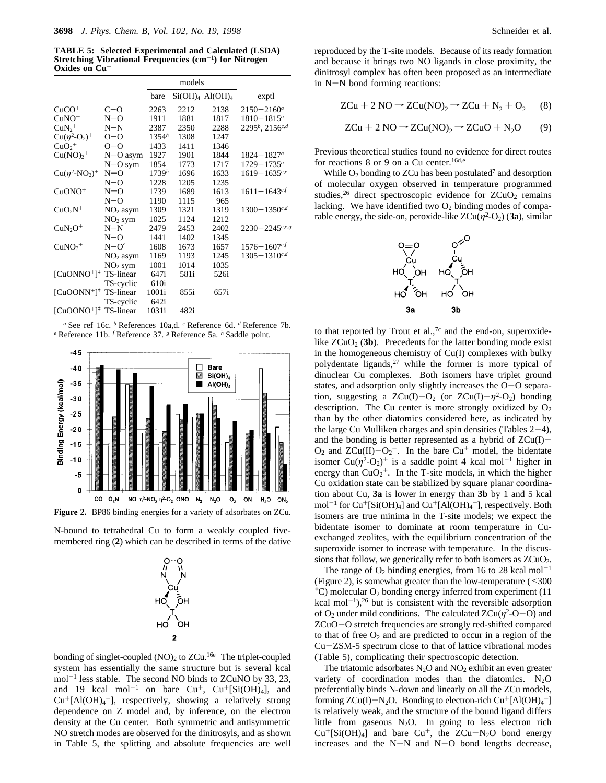**TABLE 5: Selected Experimental and Calculated (LSDA) Stretching Vibrational Frequencies (cm**-**1) for Nitrogen Oxides on Cu**+

|                                               |            |                   | models |                                         |                              |
|-----------------------------------------------|------------|-------------------|--------|-----------------------------------------|------------------------------|
|                                               |            | bare              |        | Si(OH) <sub>4</sub> Al(OH) <sub>4</sub> | exptl                        |
| $CuCO+$                                       | $C=O$      | 2263              | 2212   | 2138                                    | $2150 - 2160^a$              |
| $CuNO+$                                       | $N=0$      | 1911              | 1881   | 1817                                    | $1810 - 1815^a$              |
| $CuN2$ <sup>+</sup>                           | $N-N$      | 2387              | 2350   | 2288                                    | $2295^b$ , $2156^{c,d}$      |
| $Cu(\eta^2-O_2)+$                             | $O-O$      | 1354 <sup>h</sup> | 1308   | 1247                                    |                              |
| $CuO2+$                                       | $O - O$    | 1433              | 1411   | 1346                                    |                              |
| $Cu(NO)2$ <sup>+</sup>                        | $N-O$ asym | 1927              | 1901   | 1844                                    | $1824 - 1827^a$              |
|                                               | $N-O$ sym  | 1854              | 1773   | 1717                                    | $1729 - 1735^a$              |
| $Cu(\eta^2-NO2)+$                             | $N=0$      | 1739 <sup>h</sup> | 1696   | 1633                                    | $1619 - 1635^{c,e}$          |
|                                               | $N=0$      | 1228              | 1205   | 1235                                    |                              |
| $CuONO+$                                      | $N=0$      | 1739              | 1689   | 1613                                    | $1611 - 1643^{c,f}$          |
|                                               | $N-O$      | 1190              | 1115   | 965                                     |                              |
| $CuO2N+$                                      | $NO2$ asym | 1309              | 1321   | 1319                                    | $1300 - 1350^{c,d}$          |
|                                               | $NO2$ sym  | 1025              | 1124   | 1212                                    |                              |
| $CuN2O+$                                      | $N-N$      | 2479              | 2453   | 2402                                    | $2230 - 2245^{c,e,g}$        |
|                                               | $N-O$      | 1441              | 1402   | 1345                                    |                              |
| $CuNO3+$                                      | $N - Q'$   | 1608              | 1673   | 1657                                    | $1576 - 1607$ <sup>c,f</sup> |
|                                               | $NO2$ asym | 1169              | 1193   | 1245                                    | $1305 - 1310^{c,d}$          |
|                                               | $NO2$ sym  | 1001              | 1014   | 1035                                    |                              |
| $[CuONNO^+]^{\ddagger}$ TS-linear             |            | 647i              | 581i   | 526i                                    |                              |
|                                               | TS-cyclic  | 610i              |        |                                         |                              |
| $[CuOONN^+]^*$                                | TS-linear  | 1001i             | 855i   | 657i                                    |                              |
|                                               | TS-cyclic  | 642i              |        |                                         |                              |
| [CuOONO <sup>+</sup> ] <sup>‡</sup> TS-linear |            | 1031i             | 482i   |                                         |                              |

*<sup>a</sup>* See ref 16c. *<sup>b</sup>* References 10a,d. *<sup>c</sup>* Reference 6d. *<sup>d</sup>* Reference 7b. *<sup>e</sup>* Reference 11b. *<sup>f</sup>* Reference 37. *<sup>g</sup>* Reference 5a. *<sup>h</sup>* Saddle point.



**Figure 2.** BP86 binding energies for a variety of adsorbates on ZCu.

N-bound to tetrahedral Cu to form a weakly coupled fivemembered ring (**2**) which can be described in terms of the dative



bonding of singlet-coupled  $(NO)_2$  to  $ZCu$ .<sup>16e</sup> The triplet-coupled system has essentially the same structure but is several kcal  $mol^{-1}$  less stable. The second NO binds to ZCuNO by 33, 23, and 19 kcal mol<sup>-1</sup> on bare  $Cu^+$ ,  $Cu^+[Si(OH)_4]$ , and  $Cu^+[Al(OH)<sub>4</sub>^{-}]$ , respectively, showing a relatively strong dependence on Z model and, by inference, on the electron density at the Cu center. Both symmetric and antisymmetric NO stretch modes are observed for the dinitrosyls, and as shown in Table 5, the splitting and absolute frequencies are well reproduced by the T-site models. Because of its ready formation and because it brings two NO ligands in close proximity, the dinitrosyl complex has often been proposed as an intermediate in N-N bond forming reactions:

$$
ZCu + 2 NO \rightarrow ZCu(NO)_2 \rightarrow ZCu + N_2 + O_2 \quad (8)
$$

$$
ZCu + 2 NO \rightarrow ZCu(NO)_2 \rightarrow ZCuO + N_2O \qquad (9)
$$

Previous theoretical studies found no evidence for direct routes for reactions 8 or 9 on a Cu center.<sup>16d,e</sup>

While  $O_2$  bonding to ZCu has been postulated<sup>7</sup> and desorption of molecular oxygen observed in temperature programmed studies,<sup>26</sup> direct spectroscopic evidence for  $ZCuO<sub>2</sub>$  remains lacking. We have identified two  $O_2$  binding modes of comparable energy, the side-on, peroxide-like  $ZCu(\eta^2-O_2)$  (3a), similar



to that reported by Trout et al.,<sup>7c</sup> and the end-on, superoxidelike  $ZCuO<sub>2</sub>$  (3b). Precedents for the latter bonding mode exist in the homogeneous chemistry of Cu(I) complexes with bulky polydentate ligands,<sup>27</sup> while the former is more typical of dinuclear Cu complexes. Both isomers have triplet ground states, and adsorption only slightly increases the O-O separation, suggesting a ZCu(I)- $O_2$  (or ZCu(I)- $\eta^2$ - $O_2$ ) bonding description. The Cu center is more strongly oxidized by  $O_2$ than by the other diatomics considered here, as indicated by the large Cu Mulliken charges and spin densities (Tables 2-4), and the bonding is better represented as a hybrid of  $ZCu(I)$ - $O_2$  and  $ZCu(II) - O_2^-$ . In the bare  $Cu^+$  model, the bidentate<br>isomer  $Cu(n^2-O_2)^+$  is a saddle point 4 kcal mol<sup>-1</sup> higher in isomer Cu( $\eta^2$ -O<sub>2</sub>)<sup>+</sup> is a saddle point 4 kcal mol<sup>-1</sup> higher in energy than  $CuO_2^+$ . In the T-site models, in which the higher Cu oxidation state can be stabilized by square planar coordination about Cu, **3a** is lower in energy than **3b** by 1 and 5 kcal  $mol^{-1}$  for  $Cu^+[Si(OH)_4]$  and  $Cu^+[Al(OH)_4^-]$ , respectively. Both isomers are true minima in the T-site models; we expect the bidentate isomer to dominate at room temperature in Cuexchanged zeolites, with the equilibrium concentration of the superoxide isomer to increase with temperature. In the discussions that follow, we generically refer to both isomers as ZCuO2.

The range of  $O_2$  binding energies, from 16 to 28 kcal mol<sup>-1</sup> (Figure 2), is somewhat greater than the low-temperature  $($  < 300  $\rm{°C}$ ) molecular O<sub>2</sub> bonding energy inferred from experiment (11) kcal mol<sup> $-1$ </sup>),<sup>26</sup> but is consistent with the reversible adsorption of  $O_2$  under mild conditions. The calculated  $ZCu(\eta^2-O-O)$  and ZCuO-O stretch frequencies are strongly red-shifted compared to that of free  $O_2$  and are predicted to occur in a region of the Cu-ZSM-5 spectrum close to that of lattice vibrational modes (Table 5), complicating their spectroscopic detection.

The triatomic adsorbates  $N_2O$  and  $NO_2$  exhibit an even greater variety of coordination modes than the diatomics.  $N_2O$ preferentially binds N-down and linearly on all the ZCu models, forming  $ZCu(I)-N_2O$ . Bonding to electron-rich  $Cu^+[Al(OH)_4^-]$ <br>is relatively weak, and the structure of the bound ligand differs is relatively weak, and the structure of the bound ligand differs little from gaseous  $N_2O$ . In going to less electron rich  $Cu^{+}[Si(OH)<sub>4</sub>]$  and bare  $Cu^{+}$ , the  $ZCu-N<sub>2</sub>O$  bond energy increases and the  $N-N$  and  $N-O$  bond lengths decrease,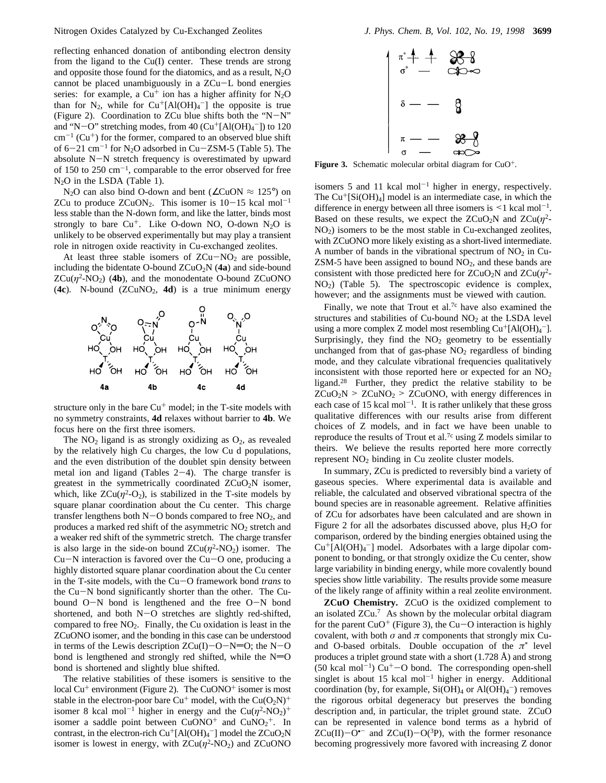reflecting enhanced donation of antibonding electron density from the ligand to the Cu(I) center. These trends are strong and opposite those found for the diatomics, and as a result,  $N_2O$ cannot be placed unambiguously in a ZCu-L bond energies series: for example, a Cu<sup>+</sup> ion has a higher affinity for  $N_2O$ than for  $N_2$ , while for  $Cu^+[Al(OH)_4^-]$  the opposite is true (Figure 2). Coordination to ZCu blue shifts both the "N-N" and "N-O" stretching modes, from 40  $\left(\text{Cu}^+\text{[Al(OH)<sub>4</sub>^-}\right)$  to 120<br>cm<sup>-1</sup> ( $\text{Cu}^+$ ) for the former, compared to an observed blue shift  $cm^{-1}$  (Cu<sup>+</sup>) for the former, compared to an observed blue shift of  $6-21$  cm<sup>-1</sup> for N<sub>2</sub>O adsorbed in Cu-ZSM-5 (Table 5). The absolute  $N-N$  stretch frequency is overestimated by upward of 150 to 250  $\text{cm}^{-1}$ , comparable to the error observed for free N<sub>2</sub>O in the LSDA (Table 1).

N<sub>2</sub>O can also bind O-down and bent (∠CuON  $\approx$  125°) on ZCu to produce ZCuON<sub>2</sub>. This isomer is  $10-15$  kcal mol<sup>-1</sup> less stable than the N-down form, and like the latter, binds most strongly to bare Cu<sup>+</sup>. Like O-down NO, O-down  $N_2O$  is unlikely to be observed experimentally but may play a transient role in nitrogen oxide reactivity in Cu-exchanged zeolites.

At least three stable isomers of  $ZCu-NO<sub>2</sub>$  are possible, including the bidentate O-bound  $ZCuO<sub>2</sub>N$  (4a) and side-bound  $ZCu(\eta^2-NO_2)$  (4b), and the monodentate O-bound  $ZCuONO$  $(4c)$ . N-bound  $(ZCuNO<sub>2</sub>, 4d)$  is a true minimum energy



structure only in the bare  $Cu<sup>+</sup>$  model; in the T-site models with no symmetry constraints, **4d** relaxes without barrier to **4b**. We focus here on the first three isomers.

The  $NO<sub>2</sub>$  ligand is as strongly oxidizing as  $O<sub>2</sub>$ , as revealed by the relatively high Cu charges, the low Cu d populations, and the even distribution of the doublet spin density between metal ion and ligand (Tables  $2-4$ ). The charge transfer is greatest in the symmetrically coordinated ZCuO<sub>2</sub>N isomer, which, like  $ZCu(\eta^2-O_2)$ , is stabilized in the T-site models by square planar coordination about the Cu center. This charge transfer lengthens both  $N-O$  bonds compared to free  $NO<sub>2</sub>$ , and produces a marked red shift of the asymmetric  $NO<sub>2</sub>$  stretch and a weaker red shift of the symmetric stretch. The charge transfer is also large in the side-on bound  $ZCu(\eta^2-NO_2)$  isomer. The Cu-N interaction is favored over the Cu-O one, producing a highly distorted square planar coordination about the Cu center in the T-site models, with the Cu-O framework bond *trans* to the Cu-N bond significantly shorter than the other. The Cubound O-N bond is lengthened and the free O-N bond shortened, and both N-O stretches are slightly red-shifted, compared to free  $NO<sub>2</sub>$ . Finally, the Cu oxidation is least in the ZCuONO isomer, and the bonding in this case can be understood in terms of the Lewis description  $ZCu(I)-O-N=O$ ; the N-O bond is lengthened and strongly red shifted, while the  $N=O$ bond is shortened and slightly blue shifted.

The relative stabilities of these isomers is sensitive to the local  $Cu<sup>+</sup>$  environment (Figure 2). The CuONO<sup>+</sup> isomer is most stable in the electron-poor bare Cu<sup>+</sup> model, with the Cu(O<sub>2</sub>N)<sup>+</sup> isomer 8 kcal mol<sup>-1</sup> higher in energy and the  $Cu(\eta^2-NO_2)$ <sup>+</sup> isomer a saddle point between  $CuONO<sup>+</sup>$  and  $CuNO<sub>2</sub><sup>+</sup>$ . In contrast, in the electron-rich  $Cu^+[Al(OH)_4^-]$  model the  $ZCuO_2N$ isomer is lowest in energy, with  $ZCu(\eta^2-NO_2)$  and  $ZCuONO$ 



**Figure 3.** Schematic molecular orbital diagram for CuO<sup>+</sup>.

isomers 5 and 11 kcal mol<sup> $-1$ </sup> higher in energy, respectively. The  $Cu$ <sup>+</sup>[Si(OH)<sub>4</sub>] model is an intermediate case, in which the difference in energy between all three isomers is  $\leq 1$  kcal mol<sup>-1</sup>. Based on these results, we expect the  $ZCuO<sub>2</sub>N$  and  $ZCu(\eta^2-$ NO2) isomers to be the most stable in Cu-exchanged zeolites, with ZCuONO more likely existing as a short-lived intermediate. A number of bands in the vibrational spectrum of  $NO<sub>2</sub>$  in Cu- $ZSM-5$  have been assigned to bound  $NO<sub>2</sub>$ , and these bands are consistent with those predicted here for  $ZCuO<sub>2</sub>N$  and  $ZCu(\eta^2 NO<sub>2</sub>$ ) (Table 5). The spectroscopic evidence is complex, however; and the assignments must be viewed with caution.

Finally, we note that Trout et al.<sup>7c</sup> have also examined the structures and stabilities of  $Cu$ -bound  $NO<sub>2</sub>$  at the LSDA level using a more complex Z model most resembling  $Cu^+[Al(OH)_4^-]$ . Surprisingly, they find the  $NO<sub>2</sub>$  geometry to be essentially unchanged from that of gas-phase  $NO<sub>2</sub>$  regardless of binding mode, and they calculate vibrational frequencies qualitatively inconsistent with those reported here or expected for an  $NO<sub>2</sub>$ ligand.28 Further, they predict the relative stability to be  $ZCuO<sub>2</sub>N > ZCuNO<sub>2</sub> > ZCuONO$ , with energy differences in each case of 15 kcal mol<sup>-1</sup>. It is rather unlikely that these gross qualitative differences with our results arise from different choices of Z models, and in fact we have been unable to reproduce the results of Trout et al.<sup>7c</sup> using Z models similar to theirs. We believe the results reported here more correctly represent  $NO<sub>2</sub>$  binding in Cu zeolite cluster models.

In summary, ZCu is predicted to reversibly bind a variety of gaseous species. Where experimental data is available and reliable, the calculated and observed vibrational spectra of the bound species are in reasonable agreement. Relative affinities of ZCu for adsorbates have been calculated and are shown in Figure 2 for all the adsorbates discussed above, plus  $H_2O$  for comparison, ordered by the binding energies obtained using the  $Cu^+[Al(OH)_4^-]$  model. Adsorbates with a large dipolar component to bonding, or that strongly oxidize the Cu center, show large variability in binding energy, while more covalently bound species show little variability. The results provide some measure of the likely range of affinity within a real zeolite environment.

**ZCuO Chemistry.** ZCuO is the oxidized complement to an isolated  $ZCu.<sup>7</sup>$  As shown by the molecular orbital diagram for the parent  $CuO^+$  (Figure 3), the  $Cu-O$  interaction is highly covalent, with both  $\sigma$  and  $\pi$  components that strongly mix Cuand O-based orbitals. Double occupation of the *π*\* level produces a triplet ground state with a short (1.728 Å) and strong  $(50 \text{ kcal mol}^{-1}) \text{ Cu}^+$  - O bond. The corresponding open-shell singlet is about 15 kcal  $mol^{-1}$  higher in energy. Additional coordination (by, for example,  $Si(OH)_4$  or  $Al(OH)_4^-$ ) removes the rigorous orbital degeneracy but preserves the bonding description and, in particular, the triplet ground state. ZCuO can be represented in valence bond terms as a hybrid of  $ZCu(II)-O<sup>•-</sup>$  and  $ZCu(I)-O<sup>3</sup>P)$ , with the former resonance becoming progressively more favored with increasing Z donor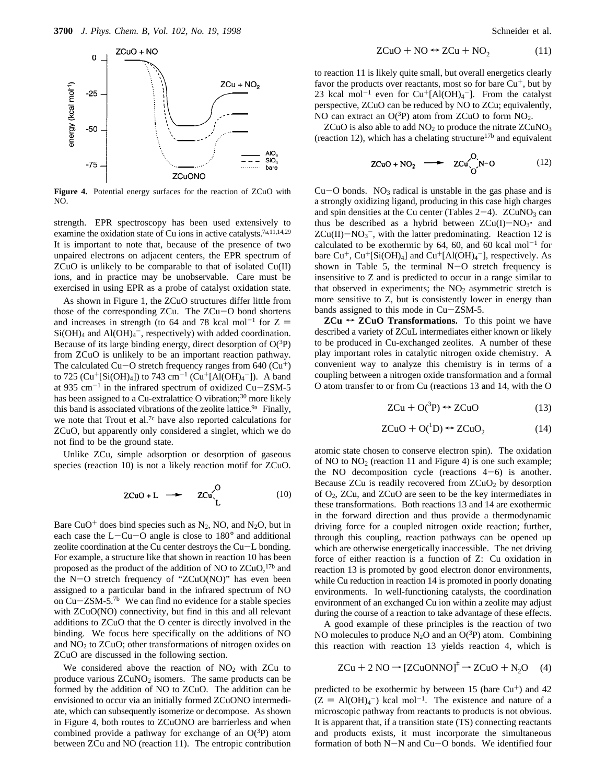

**Figure 4.** Potential energy surfaces for the reaction of ZCuO with NO.

strength. EPR spectroscopy has been used extensively to examine the oxidation state of Cu ions in active catalysts.<sup>7a,11,14,29</sup> It is important to note that, because of the presence of two unpaired electrons on adjacent centers, the EPR spectrum of ZCuO is unlikely to be comparable to that of isolated Cu(II) ions, and in practice may be unobservable. Care must be exercised in using EPR as a probe of catalyst oxidation state.

As shown in Figure 1, the ZCuO structures differ little from those of the corresponding ZCu. The ZCu-O bond shortens and increases in strength (to 64 and 78 kcal mol<sup>-1</sup> for  $Z =$  $Si(OH)_4$  and  $Al(OH)_4^-$ , respectively) with added coordination. Because of its large binding energy, direct desorption of  $O(3P)$ from ZCuO is unlikely to be an important reaction pathway. The calculated  $Cu-O$  stretch frequency ranges from 640  $(Cu^{+})$ to 725 (Cu<sup>+</sup>[Si(OH)<sub>4</sub>]) to 743 cm<sup>-1</sup> (Cu<sup>+</sup>[Al(OH)<sub>4</sub><sup>-</sup>]). A band at 935  $cm^{-1}$  in the infrared spectrum of oxidized Cu-ZSM-5 has been assigned to a Cu-extralattice O vibration;<sup>30</sup> more likely this band is associated vibrations of the zeolite lattice.<sup>9a</sup> Finally, we note that Trout et al.<sup>7c</sup> have also reported calculations for ZCuO, but apparently only considered a singlet, which we do not find to be the ground state.

Unlike ZCu, simple adsorption or desorption of gaseous species (reaction 10) is not a likely reaction motif for ZCuO.

$$
ZCuO + L \longrightarrow ZCu \begin{matrix} 0 \\ L \end{matrix} \tag{10}
$$

Bare CuO<sup>+</sup> does bind species such as  $N_2$ , NO, and  $N_2O$ , but in each case the L-Cu-O angle is close to 180° and additional zeolite coordination at the Cu center destroys the Cu-L bonding. For example, a structure like that shown in reaction 10 has been proposed as the product of the addition of NO to  $ZCuO$ ,  $^{17b}$  and the N-O stretch frequency of "ZCuO(NO)" has even been assigned to a particular band in the infrared spectrum of NO on  $Cu-ZSM-5<sup>7b</sup>$  We can find no evidence for a stable species with ZCuO(NO) connectivity, but find in this and all relevant additions to ZCuO that the O center is directly involved in the binding. We focus here specifically on the additions of NO and  $NO<sub>2</sub>$  to  $ZCuO$ ; other transformations of nitrogen oxides on ZCuO are discussed in the following section.

We considered above the reaction of  $NO<sub>2</sub>$  with ZCu to produce various  $ZCuNO<sub>2</sub>$  isomers. The same products can be formed by the addition of NO to ZCuO. The addition can be envisioned to occur via an initially formed ZCuONO intermediate, which can subsequently isomerize or decompose. As shown in Figure 4, both routes to ZCuONO are barrierless and when combined provide a pathway for exchange of an  $O(^3P)$  atom between ZCu and NO (reaction 11). The entropic contribution

$$
ZCuO + NO \leftrightarrow ZCu + NO_2 \tag{11}
$$

to reaction 11 is likely quite small, but overall energetics clearly favor the products over reactants, most so for bare  $Cu<sup>+</sup>$ , but by 23 kcal mol<sup>-1</sup> even for  $Cu^+[Al(OH)_4^-]$ . From the catalyst perspective, ZCuO can be reduced by NO to ZCu; equivalently, NO can extract an  $O(^3P)$  atom from ZCuO to form NO<sub>2</sub>.

 $ZCuO$  is also able to add  $NO<sub>2</sub>$  to produce the nitrate  $ZCuNO<sub>3</sub>$ (reaction 12), which has a chelating structure<sup>17b</sup> and equivalent

$$
ZCuO + NO_2 \longrightarrow ZCu \begin{matrix} O \\ O \\ O \end{matrix} N-O \tag{12}
$$

 $Cu-O$  bonds.  $NO<sub>3</sub>$  radical is unstable in the gas phase and is a strongly oxidizing ligand, producing in this case high charges and spin densities at the Cu center (Tables  $2-4$ ). ZCuNO<sub>3</sub> can thus be described as a hybrid between  $ZCu(I)-NO<sub>3</sub>$ <sup>\*</sup> and  $ZCu(II) - NO<sub>3</sub>$ , with the latter predominating. Reaction 12 is<br>calculated to be exothermic by 64, 60, and 60 kcal mol<sup>-1</sup> for calculated to be exothermic by 64, 60, and 60 kcal mol<sup>-1</sup> for bare  $Cu^+$ ,  $Cu^+[Si(OH)_4]$  and  $Cu^+[Al(OH)_4^-]$ , respectively. As shown in Table 5, the terminal  $N-O$  stretch frequency is insensitive to Z and is predicted to occur in a range similar to that observed in experiments; the  $NO<sub>2</sub>$  asymmetric stretch is more sensitive to Z, but is consistently lower in energy than bands assigned to this mode in Cu-ZSM-5.

 $\mathbf{Z} \mathbf{C} \mathbf{u} \leftrightarrow \mathbf{Z} \mathbf{C} \mathbf{u} \mathbf{O}$  Transformations. To this point we have described a variety of ZCuL intermediates either known or likely to be produced in Cu-exchanged zeolites. A number of these play important roles in catalytic nitrogen oxide chemistry. A convenient way to analyze this chemistry is in terms of a coupling between a nitrogen oxide transformation and a formal O atom transfer to or from Cu (reactions 13 and 14, with the O

$$
ZCu + O(^3P) \leftrightarrow ZCuO \tag{13}
$$

$$
ZCuO + O(^{1}D) \leftrightarrow ZCuO_{2}
$$
 (14)

atomic state chosen to conserve electron spin). The oxidation of NO to  $NO<sub>2</sub>$  (reaction 11 and Figure 4) is one such example; the NO decomposition cycle (reactions  $4-6$ ) is another. Because  $ZCu$  is readily recovered from  $ZCuO<sub>2</sub>$  by desorption of O2, ZCu, and ZCuO are seen to be the key intermediates in these transformations. Both reactions 13 and 14 are exothermic in the forward direction and thus provide a thermodynamic driving force for a coupled nitrogen oxide reaction; further, through this coupling, reaction pathways can be opened up which are otherwise energetically inaccessible. The net driving force of either reaction is a function of Z: Cu oxidation in reaction 13 is promoted by good electron donor environments, while Cu reduction in reaction 14 is promoted in poorly donating environments. In well-functioning catalysts, the coordination environment of an exchanged Cu ion within a zeolite may adjust during the course of a reaction to take advantage of these effects.

A good example of these principles is the reaction of two NO molecules to produce  $N_2O$  and an  $O(^3P)$  atom. Combining this reaction with reaction 13 yields reaction 4, which is

$$
ZCu + 2 NO \rightarrow [ZCuONNO]† \rightarrow ZCuO + N2O \quad (4)
$$

predicted to be exothermic by between 15 (bare  $Cu<sup>+</sup>$ ) and 42  $(Z = \text{Al}(\text{OH})_4^-)$  kcal mol<sup>-1</sup>. The existence and nature of a microscopic pathway from reactants to products is not obvious microscopic pathway from reactants to products is not obvious. It is apparent that, if a transition state (TS) connecting reactants and products exists, it must incorporate the simultaneous formation of both N-N and Cu-O bonds. We identified four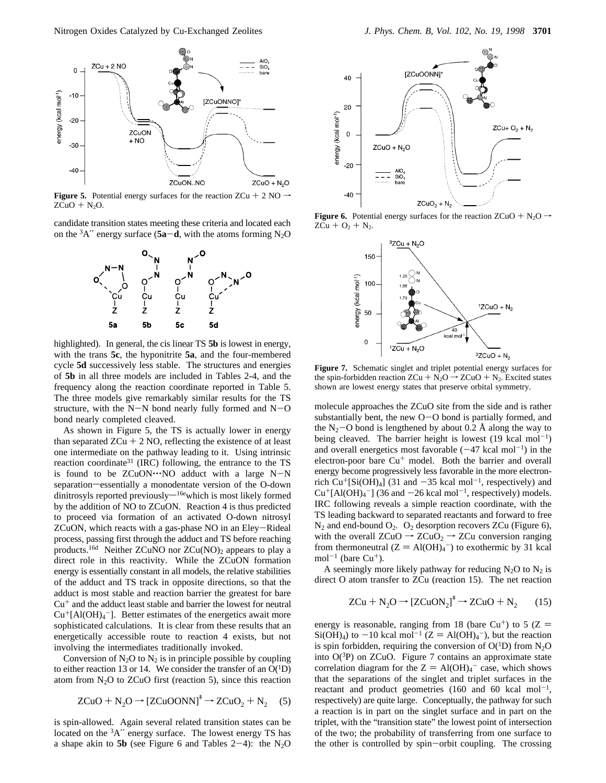

**Figure 5.** Potential energy surfaces for the reaction ZCu + 2 NO  $\rightarrow$  $ZCuO + N<sub>2</sub>O$ .

candidate transition states meeting these criteria and located each on the  ${}^{3}A''$  energy surface (**5a-d**, with the atoms forming N<sub>2</sub>O



highlighted). In general, the cis linear TS **5b** is lowest in energy, with the trans **5c**, the hyponitrite **5a**, and the four-membered cycle **5d** successively less stable. The structures and energies of **5b** in all three models are included in Tables 2-4, and the frequency along the reaction coordinate reported in Table 5. The three models give remarkably similar results for the TS structure, with the  $N-N$  bond nearly fully formed and  $N-O$ bond nearly completed cleaved.

As shown in Figure 5, the TS is actually lower in energy than separated  $ZCu + 2 NO$ , reflecting the existence of at least one intermediate on the pathway leading to it. Using intrinsic reaction coordinate<sup>31</sup> (IRC) following, the entrance to the TS is found to be ZCuON'''NO adduct with a large N-<sup>N</sup> separation-essentially a monodentate version of the O-down dinitrosyls reported previously $-16$ <sup>e</sup>which is most likely formed by the addition of NO to ZCuON. Reaction 4 is thus predicted to proceed via formation of an activated O-down nitrosyl ZCuON, which reacts with a gas-phase NO in an Eley-Rideal process, passing first through the adduct and TS before reaching products.<sup>16d</sup> Neither ZCuNO nor ZCu(NO)<sub>2</sub> appears to play a direct role in this reactivity. While the ZCuON formation energy is essentially constant in all models, the relative stabilities of the adduct and TS track in opposite directions, so that the adduct is most stable and reaction barrier the greatest for bare  $Cu<sup>+</sup>$  and the adduct least stable and barrier the lowest for neutral  $Cu^+[Al(OH)<sub>4</sub>$ ]. Better estimates of the energetics await more sophisticated calculations. It is clear from these results that an energetically accessible route to reaction 4 exists, but not involving the intermediates traditionally invoked.

Conversion of  $N_2O$  to  $N_2$  is in principle possible by coupling to either reaction 13 or 14. We consider the transfer of an  $O(^1D)$ atom from  $N_2O$  to ZCuO first (reaction 5), since this reaction

$$
ZCuO + N_2O \rightarrow [ZCuOONN]^{\dagger} \rightarrow ZCuO_2 + N_2 \quad (5)
$$

is spin-allowed. Again several related transition states can be located on the <sup>3</sup>A" energy surface. The lowest energy TS has a shape akin to **5b** (see Figure 6 and Tables  $2-4$ ): the N<sub>2</sub>O



**Figure 6.** Potential energy surfaces for the reaction ZCuO +  $N_2O \rightarrow$  $ZCu + O_2 + N_2$ .



**Figure 7.** Schematic singlet and triplet potential energy surfaces for the spin-forbidden reaction  $ZCu + N_2O \rightarrow ZCuO + N_2$ . Excited states shown are lowest energy states that preserve orbital symmetry.

molecule approaches the ZCuO site from the side and is rather substantially bent, the new  $O-O$  bond is partially formed, and the N<sub>2</sub>-O bond is lengthened by about 0.2 Å along the way to being cleaved. The barrier height is lowest  $(19 \text{ kcal mol}^{-1})$ and overall energetics most favorable  $(-47 \text{ kcal mol}^{-1})$  in the electron-poor bare  $Cu<sup>+</sup>$  model. Both the barrier and overall energy become progressively less favorable in the more electronrich Cu<sup>+</sup>[Si(OH)<sub>4</sub>] (31 and  $-35$  kcal mol<sup>-1</sup>, respectively) and  $Cu^{+}[Al(OH)<sub>4</sub>^{-}]$  (36 and  $-26$  kcal mol<sup>-1</sup>, respectively) models.<br>IRC following reveals a simple reaction coordinate, with the IRC following reveals a simple reaction coordinate, with the TS leading backward to separated reactants and forward to free N2 and end-bound O2. O2 desorption recovers ZCu (Figure 6), with the overall  $ZCuO \rightarrow ZCuO_2 \rightarrow ZCu$  conversion ranging from thermoneutral  $(Z = Al(OH)<sub>4</sub><sup>-</sup>)$  to exothermic by 31 kcal<br>mol<sup>-1</sup> (bare  $Cu<sup>+</sup>$ ) mol<sup>-1</sup> (bare  $Cu<sup>+</sup>$ ).

A seemingly more likely pathway for reducing  $N_2O$  to  $N_2$  is direct O atom transfer to ZCu (reaction 15). The net reaction

$$
ZCu + N_2O \rightarrow [ZCuON_2]^{\dagger} \rightarrow ZCuO + N_2 \tag{15}
$$

energy is reasonable, ranging from 18 (bare Cu<sup>+</sup>) to 5 ( $Z =$  $Si(OH)_4$ ) to  $-10$  kcal mol<sup>-1</sup> ( $Z = Al(OH)_4$ ), but the reaction<br>is spin forbidden, requiring the conversion of  $O(^1D)$  from N<sub>2</sub>O is spin forbidden, requiring the conversion of  $O(^1D)$  from N<sub>2</sub>O into  $O(^3P)$  on ZCuO. Figure 7 contains an approximate state correlation diagram for the  $Z = Al(OH)<sub>4</sub>$  case, which shows<br>that the separations of the singlet and triplet surfaces in the that the separations of the singlet and triplet surfaces in the reactant and product geometries (160 and 60 kcal mol<sup>-1</sup>, respectively) are quite large. Conceptually, the pathway for such a reaction is in part on the singlet surface and in part on the triplet, with the "transition state" the lowest point of intersection of the two; the probability of transferring from one surface to the other is controlled by spin-orbit coupling. The crossing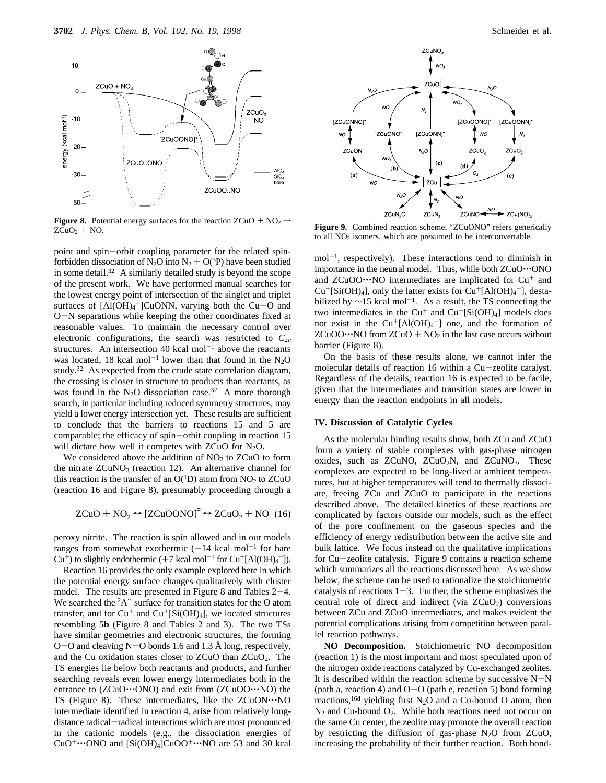

**Figure 8.** Potential energy surfaces for the reaction  $ZCuO + NO<sub>2</sub> \rightarrow$  $ZCuO<sub>2</sub> + NO.$ 

point and spin-orbit coupling parameter for the related spinforbidden dissociation of N<sub>2</sub>O into N<sub>2</sub> + O(<sup>3</sup>P) have been studied in some detail. $32$  A similarly detailed study is beyond the scope of the present work. We have performed manual searches for the lowest energy point of intersection of the singlet and triplet surfaces of  $[A(OH)_4^-]CuONN$ , varying both the Cu-O and  $O-N$  separations while keeping the other coordinates fixed at <sup>O</sup>-N separations while keeping the other coordinates fixed at reasonable values. To maintain the necessary control over electronic configurations, the search was restricted to  $C_{2v}$ structures. An intersection 40 kcal mol<sup> $-1$ </sup> above the reactants was located, 18 kcal mol<sup>-1</sup> lower than that found in the N<sub>2</sub>O study.<sup>32</sup> As expected from the crude state correlation diagram, the crossing is closer in structure to products than reactants, as was found in the N<sub>2</sub>O dissociation case.<sup>32</sup> A more thorough search, in particular including reduced symmetry structures, may yield a lower energy intersection yet. These results are sufficient to conclude that the barriers to reactions 15 and 5 are comparable; the efficacy of spin-orbit coupling in reaction 15 will dictate how well it competes with ZCuO for  $N_2O$ .

We considered above the addition of  $NO<sub>2</sub>$  to ZCuO to form the nitrate  $ZCuNO<sub>3</sub>$  (reaction 12). An alternative channel for this reaction is the transfer of an  $O(^1D)$  atom from NO<sub>2</sub> to ZCuO (reaction 16 and Figure 8), presumably proceeding through a

$$
ZCuO + NO_2 \leftrightarrow [ZCuOONO]^{\dagger} \leftrightarrow ZCuO_2 + NO \text{ (16)}
$$

peroxy nitrite. The reaction is spin allowed and in our models ranges from somewhat exothermic  $(-14 \text{ kcal mol}^{-1}$  for bare  $Cu$ <sup>+</sup>) to slightly endothermic (+7 kcal mol<sup>-1</sup> for  $Cu$ <sup>+</sup>[Al(OH)<sub>4</sub><sup>-</sup>]).<br>Reaction 16 provides the only example explored here in which

Reaction 16 provides the only example explored here in which the potential energy surface changes qualitatively with cluster model. The results are presented in Figure 8 and Tables 2-4. We searched the  $2A''$  surface for transition states for the O atom transfer, and for  $Cu^+$  and  $Cu^+$ [Si(OH)<sub>4</sub>], we located structures resembling **5b** (Figure 8 and Tables 2 and 3). The two TSs have similar geometries and electronic structures, the forming <sup>O</sup>-O and cleaving N-O bonds 1.6 and 1.3 Å long, respectively, and the Cu oxidation states closer to ZCuO than ZCuO<sub>2</sub>. The TS energies lie below both reactants and products, and further searching reveals even lower energy intermediates both in the entrance to (ZCuO…ONO) and exit from (ZCuOO…NO) the TS (Figure 8). These intermediates, like the ZCuON'''NO intermediate identified in reaction 4, arise from relatively longdistance radical-radical interactions which are most pronounced in the cationic models (e.g., the dissociation energies of CuO<sup>+</sup> $\cdots$ ONO and [Si(OH)<sub>4</sub>]CuOO<sup>+</sup> $\cdots$ NO are 53 and 30 kcal



ZCuN<sub>2</sub> **Figure 9.** Combined reaction scheme. "ZCuONO" refers generically to all NO2 isomers, which are presumed to be interconvertable.

ZCuNO

ZCuN<sub>2</sub>O

 $mol^{-1}$ , respectively). These interactions tend to diminish in importance in the neutral model. Thus, while both  $ZCuO'''$ ONO and  $ZCuOO\cdots NO$  intermediates are implicated for  $Cu<sup>+</sup>$  and  $Cu^+[Si(OH)_4]$ , only the latter exists for  $Cu^+[Al(OH)_4^-]$ , destabilized by  $\sim$ 15 kcal mol<sup>-1</sup>. As a result, the TS connecting the two intermediates in the  $Cu<sup>+</sup>$  and  $Cu<sup>+</sup>[Si(OH)<sub>4</sub>]$  models does not exist in the  $Cu^+[Al(OH)_4^-]$  one, and the formation of  $ZCuOO\cdots NO$  from  $ZCuO + NO<sub>2</sub>$  in the last case occurs without barrier (Figure 8).

On the basis of these results alone, we cannot infer the molecular details of reaction 16 within a Cu-zeolite catalyst. Regardless of the details, reaction 16 is expected to be facile, given that the intermediates and transition states are lower in energy than the reaction endpoints in all models.

# **IV. Discussion of Catalytic Cycles**

As the molecular binding results show, both ZCu and ZCuO form a variety of stable complexes with gas-phase nitrogen oxides, such as  $ZCuNO$ ,  $ZCuO<sub>2</sub>N$ , and  $ZCuNO<sub>3</sub>$ . These complexes are expected to be long-lived at ambient temperatures, but at higher temperatures will tend to thermally dissociate, freeing ZCu and ZCuO to participate in the reactions described above. The detailed kinetics of these reactions are complicated by factors outside our models, such as the effect of the pore confinement on the gaseous species and the efficiency of energy redistribution between the active site and bulk lattice. We focus instead on the qualitative implications for Cu-zeolite catalysis. Figure 9 contains a reaction scheme which summarizes all the reactions discussed here. As we show below, the scheme can be used to rationalize the stoichiometric catalysis of reactions  $1-3$ . Further, the scheme emphasizes the central role of direct and indirect (via  $ZCuO<sub>2</sub>$ ) conversions between ZCu and ZCuO intermediates, and makes evident the potential complications arising from competition between parallel reaction pathways.

**NO Decomposition.** Stoichiometric NO decomposition (reaction 1) is the most important and most speculated upon of the nitrogen oxide reactions catalyzed by Cu-exchanged zeolites. It is described within the reaction scheme by successive  $N-N$ (path a, reaction 4) and  $O-O$  (path e, reaction 5) bond forming reactions,<sup>16d</sup> yielding first N<sub>2</sub>O and a Cu-bound O atom, then  $N_2$  and Cu-bound  $O_2$ . While both reactions need not occur on the same Cu center, the zeolite may promote the overall reaction by restricting the diffusion of gas-phase  $N_2O$  from ZCuO, increasing the probability of their further reaction. Both bond-

ZCu(NO)<sub>2</sub>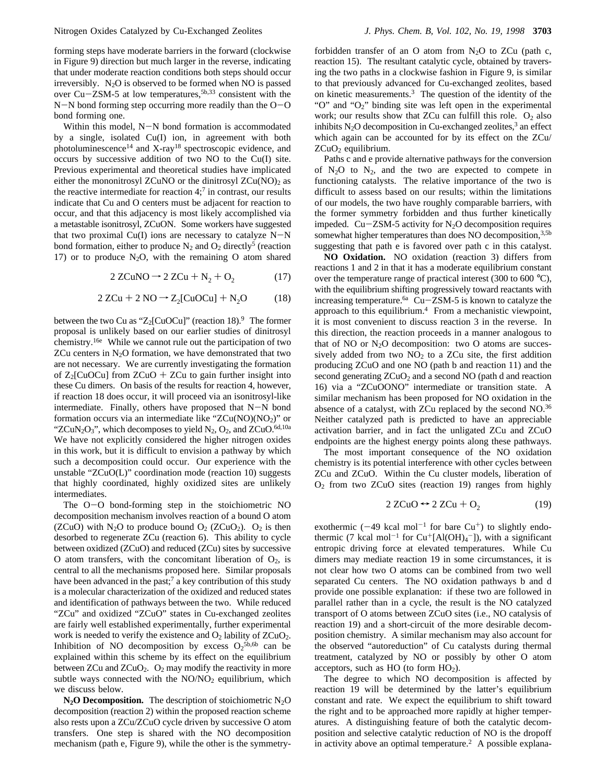forming steps have moderate barriers in the forward (clockwise in Figure 9) direction but much larger in the reverse, indicating that under moderate reaction conditions both steps should occur irreversibly.  $N_2O$  is observed to be formed when NO is passed over Cu-ZSM-5 at low temperatures,<sup>5b,33</sup> consistent with the  $N-N$  bond forming step occurring more readily than the  $O-O$ bond forming one.

Within this model, N-N bond formation is accommodated by a single, isolated Cu(I) ion, in agreement with both photoluminescence14 and X-ray18 spectroscopic evidence, and occurs by successive addition of two NO to the Cu(I) site. Previous experimental and theoretical studies have implicated either the mononitrosyl ZCuNO or the dinitrosyl  $ZCu(NO)_2$  as the reactive intermediate for reaction  $4$ ;<sup>7</sup> in contrast, our results indicate that Cu and O centers must be adjacent for reaction to occur, and that this adjacency is most likely accomplished via a metastable isonitrosyl, ZCuON. Some workers have suggested that two proximal  $Cu(I)$  ions are necessary to catalyze  $N-N$ bond formation, either to produce  $N_2$  and  $O_2$  directly<sup>5</sup> (reaction 17) or to produce  $N_2O$ , with the remaining O atom shared

$$
2 ZCuNO \rightarrow 2 ZCu + N_2 + O_2 \tag{17}
$$

$$
2 ZCu + 2 NO \rightarrow Z_2 [CuOCu] + N_2 O \tag{18}
$$

between the two Cu as " $Z_2$ [CuOCu]" (reaction 18).<sup>9</sup> The former proposal is unlikely based on our earlier studies of dinitrosyl chemistry.16e While we cannot rule out the participation of two ZCu centers in  $N_2O$  formation, we have demonstrated that two are not necessary. We are currently investigating the formation of  $Z_2$ [CuOCu] from  $ZCuO + ZCu$  to gain further insight into these Cu dimers. On basis of the results for reaction 4, however, if reaction 18 does occur, it will proceed via an isonitrosyl-like intermediate. Finally, others have proposed that  $N-N$  bond formation occurs via an intermediate like "ZCu(NO)(NO2)" or "ZCuN<sub>2</sub>O<sub>3</sub>", which decomposes to yield N<sub>2</sub>, O<sub>2</sub>, and ZCuO.<sup>6d,10a</sup> We have not explicitly considered the higher nitrogen oxides in this work, but it is difficult to envision a pathway by which such a decomposition could occur. Our experience with the unstable "ZCuO(L)" coordination mode (reaction 10) suggests that highly coordinated, highly oxidized sites are unlikely intermediates.

The O-O bond-forming step in the stoichiometric NO decomposition mechanism involves reaction of a bound O atom (ZCuO) with N<sub>2</sub>O to produce bound  $O_2$  (ZCuO<sub>2</sub>).  $O_2$  is then desorbed to regenerate ZCu (reaction 6). This ability to cycle between oxidized (ZCuO) and reduced (ZCu) sites by successive O atom transfers, with the concomitant liberation of  $O_2$ , is central to all the mechanisms proposed here. Similar proposals have been advanced in the past;<sup>7</sup> a key contribution of this study is a molecular characterization of the oxidized and reduced states and identification of pathways between the two. While reduced "ZCu" and oxidized "ZCuO" states in Cu-exchanged zeolites are fairly well established experimentally, further experimental work is needed to verify the existence and  $O_2$  lability of  $ZCuO_2$ . Inhibition of NO decomposition by excess  $O_2^{5b,6b}$  can be explained within this scheme by its effect on the equilibrium between  $ZCu$  and  $ZCuO<sub>2</sub>$ .  $O<sub>2</sub>$  may modify the reactivity in more subtle ways connected with the  $NO/NO<sub>2</sub>$  equilibrium, which we discuss below.

**N2O Decomposition.** The description of stoichiometric N2O decomposition (reaction 2) within the proposed reaction scheme also rests upon a ZCu/ZCuO cycle driven by successive O atom transfers. One step is shared with the NO decomposition mechanism (path e, Figure 9), while the other is the symmetry-

forbidden transfer of an O atom from  $N_2O$  to ZCu (path c, reaction 15). The resultant catalytic cycle, obtained by traversing the two paths in a clockwise fashion in Figure 9, is similar to that previously advanced for Cu-exchanged zeolites, based on kinetic measurements.3 The question of the identity of the " $O$ " and " $O_2$ " binding site was left open in the experimental work; our results show that ZCu can fulfill this role.  $O_2$  also inhibits  $N_2O$  decomposition in Cu-exchanged zeolites,<sup>3</sup> an effect which again can be accounted for by its effect on the ZCu/  $ZCuO<sub>2</sub>$  equilibrium.

Paths c and e provide alternative pathways for the conversion of  $N_2O$  to  $N_2$ , and the two are expected to compete in functioning catalysts. The relative importance of the two is difficult to assess based on our results; within the limitations of our models, the two have roughly comparable barriers, with the former symmetry forbidden and thus further kinetically impeded.  $Cu-ZSM-5$  activity for  $N<sub>2</sub>O$  decomposition requires somewhat higher temperatures than does NO decomposition,<sup>3,5b</sup> suggesting that path e is favored over path c in this catalyst.

**NO Oxidation.** NO oxidation (reaction 3) differs from reactions 1 and 2 in that it has a moderate equilibrium constant over the temperature range of practical interest (300 to 600 °C), with the equilibrium shifting progressively toward reactants with increasing temperature.<sup>6a</sup> Cu-ZSM-5 is known to catalyze the approach to this equilibrium. $4$  From a mechanistic viewpoint, it is most convenient to discuss reaction 3 in the reverse. In this direction, the reaction proceeds in a manner analogous to that of NO or  $N_2O$  decomposition: two O atoms are successively added from two  $NO<sub>2</sub>$  to a ZCu site, the first addition producing ZCuO and one NO (path b and reaction 11) and the second generating  $ZCuO<sub>2</sub>$  and a second NO (path d and reaction 16) via a "ZCuOONO" intermediate or transition state. A similar mechanism has been proposed for NO oxidation in the absence of a catalyst, with ZCu replaced by the second NO.36 Neither catalyzed path is predicted to have an appreciable activation barrier, and in fact the unligated ZCu and ZCuO endpoints are the highest energy points along these pathways.

The most important consequence of the NO oxidation chemistry is its potential interference with other cycles between ZCu and ZCuO. Within the Cu cluster models, liberation of  $O<sub>2</sub>$  from two ZCuO sites (reaction 19) ranges from highly

$$
2 ZCuO \leftrightarrow 2 ZCu + O_2 \tag{19}
$$

exothermic  $(-49 \text{ kcal mol}^{-1}$  for bare Cu<sup>+</sup>) to slightly endothermic (7 kcal mol<sup>-1</sup> for  $Cu^+[Al(OH)_4^-]$ ), with a significant entropic driving force at elevated temperatures. While Cu dimers may mediate reaction 19 in some circumstances, it is not clear how two O atoms can be combined from two well separated Cu centers. The NO oxidation pathways b and d provide one possible explanation: if these two are followed in parallel rather than in a cycle, the result is the NO catalyzed transport of O atoms between ZCuO sites (i.e., NO catalysis of reaction 19) and a short-circuit of the more desirable decomposition chemistry. A similar mechanism may also account for the observed "autoreduction" of Cu catalysts during thermal treatment, catalyzed by NO or possibly by other O atom acceptors, such as  $HO$  (to form  $HO<sub>2</sub>$ ).

The degree to which NO decomposition is affected by reaction 19 will be determined by the latter's equilibrium constant and rate. We expect the equilibrium to shift toward the right and to be approached more rapidly at higher temperatures. A distinguishing feature of both the catalytic decomposition and selective catalytic reduction of NO is the dropoff in activity above an optimal temperature.<sup>2</sup> A possible explana-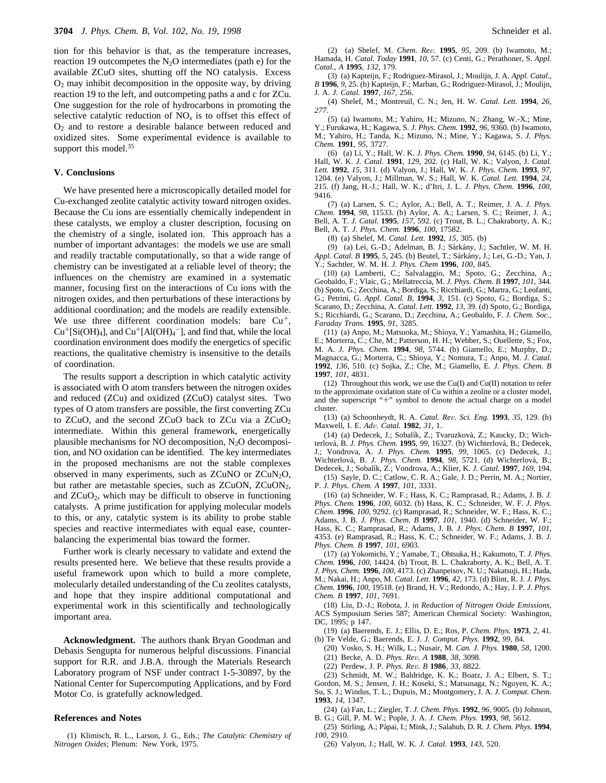tion for this behavior is that, as the temperature increases, reaction 19 outcompetes the  $N_2O$  intermediates (path e) for the available ZCuO sites, shutting off the NO catalysis. Excess  $O<sub>2</sub>$  may inhibit decomposition in the opposite way, by driving reaction 19 to the left, and outcompeting paths a and c for ZCu. One suggestion for the role of hydrocarbons in promoting the selective catalytic reduction of  $NO<sub>x</sub>$  is to offset this effect of  $O<sub>2</sub>$  and to restore a desirable balance between reduced and oxidized sites. Some experimental evidence is available to support this model.<sup>35</sup>

#### **V. Conclusions**

We have presented here a microscopically detailed model for Cu-exchanged zeolite catalytic activity toward nitrogen oxides. Because the Cu ions are essentially chemically independent in these catalysts, we employ a cluster description, focusing on the chemistry of a single, isolated ion. This approach has a number of important advantages: the models we use are small and readily tractable computationally, so that a wide range of chemistry can be investigated at a reliable level of theory; the influences on the chemistry are examined in a systematic manner, focusing first on the interactions of Cu ions with the nitrogen oxides, and then perturbations of these interactions by additional coordination; and the models are readily extensible. We use three different coordination models: bare  $Cu^+,$  $Cu^+[Si(OH)_4]$ , and  $Cu^+[Al(OH)_4^-]$ , and find that, while the local coordination environment does modify the energetics of specific reactions, the qualitative chemistry is insensitive to the details of coordination.

The results support a description in which catalytic activity is associated with O atom transfers between the nitrogen oxides and reduced (ZCu) and oxidized (ZCuO) catalyst sites. Two types of O atom transfers are possible, the first converting ZCu to ZCuO, and the second ZCuO back to ZCu via a  $ZCuO<sub>2</sub>$ intermediate. Within this general framework, energetically plausible mechanisms for NO decomposition,  $N_2O$  decomposition, and NO oxidation can be identified. The key intermediates in the proposed mechanisms are not the stable complexes observed in many experiments, such as  $ZCuNO$  or  $ZCuN<sub>2</sub>O$ , but rather are metastable species, such as ZCuON, ZCuON<sub>2</sub>, and  $ZCuO<sub>2</sub>$ , which may be difficult to observe in functioning catalysts. A prime justification for applying molecular models to this, or any, catalytic system is its ability to probe stable species and reactive intermediates with equal ease, counterbalancing the experimental bias toward the former.

Further work is clearly necessary to validate and extend the results presented here. We believe that these results provide a useful framework upon which to build a more complete, molecularly detailed understanding of the Cu zeolites catalysts, and hope that they inspire additional computational and experimental work in this scientifically and technologically important area.

**Acknowledgment.** The authors thank Bryan Goodman and Debasis Sengupta for numerous helpful discussions. Financial support for R.R. and J.B.A. through the Materials Research Laboratory program of NSF under contract 1-5-30897, by the National Center for Supercomputing Applications, and by Ford Motor Co. is gratefully acknowledged.

#### **References and Notes**

(1) Klimisch, R. L., Larson, J. G., Eds.; *The Catalytic Chemistry of Nitrogen Oxides*; Plenum: New York, 1975.

(2) (a) Shelef, M. *Chem. Re*V*.* **<sup>1995</sup>**, *<sup>95</sup>*, 209. (b) Iwamoto, M.; Hamada, H. *Catal. Today* **1991**, *10*, 57. (c) Centi, G.; Perathoner, S. *Appl. Catal., A* **1995**, *132*, 179.

(3) (a) Kapteijn, F.; Rodriguez-Mirasol, J.; Moulijn, J. A. *Appl. Catal., B* **1996**, *9*, 25. (b) Kapteijn, F.; Marban, G.; Rodriguez-Mirasol, J.; Moulijn, J. A. *J. Catal.* **1997**, *167*, 256.

(4) Shelef, M.; Montreuil, C. N.; Jen, H. W. *Catal. Lett.* **1994**, *26*, *277*.

(5) (a) Iwamoto, M.; Yahiro, H.; Mizuno, N.; Zhang, W.-X.; Mine, Y.; Furukawa, H.; Kagawa, S. *J. Phys. Chem.* **1992**, *96*, 9360. (b) Iwamoto, M.; Yahiro, H.; Tanda, K.; Mizuno, N.; Mine, Y.; Kagawa, S. *J. Phys. Chem.* **1991**, *95*, 3727.

(6) (a) Li, Y.; Hall, W. K. *J. Phys. Chem.* **1990**, *94*, 6145. (b) Li, Y.; Hall, W. K. *J. Catal.* **1991**, *129*, 202. (c) Hall, W. K.; Valyon, J. *Catal. Lett.* **1992**, *15*, 311. (d) Valyon, J.; Hall, W. K. *J. Phys. Chem.* **1993**, *97*, 1204. (e) Valyon, J.; Millman, W. S.; Hall, W. K. *Catal. Lett.* **1994**, *24*, 215. (f) Jang, H.-J.; Hall, W. K.; d'Itri, J. L. *J. Phys. Chem.* **1996**, *100*, 9416.

(7) (a) Larsen, S. C.; Aylor, A.; Bell, A. T.; Reimer, J. A. *J. Phys. Chem.* **1994**, *98*, 11533. (b) Aylor, A. A.; Larsen, S. C.; Reimer, J. A.; Bell, A. T. *J. Catal.* **1995**, *157*, 592. (c) Trout, B. L.; Chakraborty, A. K.; Bell, A. T. *J. Phys. Chem.* **1996**, *100*, 17582.

(8) (a) Shelef, M. *Catal. Lett.* **1992**, *15*, 305. (b)

(9) (a) Lei, G.-D.; Adelman, B. J.; Sárkány, J.; Sachtler, W. M. H. *Appl. Catal. B* **1995**, *5*, 245. (b) Beutel, T.; Sa´rka´ny, J.; Lei, G.-D.; Yan, J. Y.; Sachtler, W. M. H. *J. Phys. Chem* **1996**, *100*, 845.

(10) (a) Lamberti, C.; Salvalaggio, M.; Spoto, G.; Zecchina, A.; Geobaldo, F.; Vlaic, G.; Mellatreccia, M. *J. Phys. Chem. B* **1997**, *101*, 344. (b) Spoto, G.; Zecchina, A.; Bordiga, S.; Ricchiardi, G.; Martra, G.; Leofanti, G.; Petrini, G. *Appl. Catal. B,* **1994**, *3*, 151. (c) Spoto, G.; Bordiga, S.; Scarano, D.; Zecchina, A. *Catal. Lett.* **1992**, *13*, 39. (d) Spoto, G.; Bordiga, S.; Ricchiardi, G.; Scarano, D.; Zecchina, A.; Geobaldo, F. *J. Chem. Soc., Faraday Trans.* **1995**, *91*, 3285.

(11) (a) Anpo, M.; Matsuoka, M.; Shioya, Y.; Yamashita, H.; Giamello, E.; Morterra, C.; Che, M.; Patterson, H. H.; Webber, S.; Ouellette, S.; Fox, M. A. *J. Phys. Chem.* **1994**, *98*, 5744. (b) Giamello, E.; Murphy, D.; Magnacca, G.; Morterra, C.; Shioya, Y.; Nomura, T.; Anpo, M. *J. Catal.* **1992**, *136*, 510. (c) Sojka, Z.; Che, M.; Giamello, E. *J. Phys. Chem. B* **1997**, *101*, 4831.

(12) Throughout this work, we use the Cu(I) and Cu(II) notation to refer to the approximate oxidation state of Cu within a zeolite or a cluster model, and the superscript "+" symbol to denote the actual charge on a model cluster.

(13) (a) Schoonheydt, R. A. *Catal. Re*V*. Sci. Eng.* **<sup>1993</sup>**, *<sup>35</sup>*, 129. (b) Maxwell, I. E. *Ad*V*. Catal.* **<sup>1982</sup>**, *<sup>31</sup>*, 1.

(14) (a) Dedecek, J.; Sobalík, Z.; Tvaruzková, Z.; Kaucky, D.; Wichterlova´, B. *J. Phys. Chem.* **1995**, *99*, 16327. (b) Wichterlova´, B.; Dedecek, J.; Vondrova, A. *J. Phys. Chem.* **1995**, *99*, 1065. (c) Dedecek, J.; Wichterlova´, B. *J. Phys. Chem.* **1994**, *98*, 5721. (d) Wichterlova´, B.; Dedecek, J.; Sobalı´k, Z.; Vondrova, A.; Klier, K. *J. Catal.* **1997**, *169*, 194. (15) Sayle, D. C.; Catlow, C. R. A.; Gale, J. D.; Perrin, M. A.; Nortier, P. *J. Phys. Chem. A* **1997**, *101*, 3331.

(16) (a) Schneider, W. F.; Hass, K. C.; Ramprasad, R.; Adams, J. B. *J. Phys. Chem.* **1996**, *100*, 6032. (b) Hass, K. C.; Schneider, W. F. *J. Phys. Chem.* **1996**, *100*, 9292. (c) Ramprasad, R.; Schneider, W. F.; Hass, K. C.; Adams, J. B. *J. Phys. Chem. B* **1997**, *101*, 1940. (d) Schneider, W. F.; Hass, K. C.; Ramprasad, R.; Adams, J. B. *J. Phys. Chem. B* **1997**, *101*, 4353. (e) Ramprasad, R.; Hass, K. C.; Schneider, W. F.; Adams, J. B. *J. Phys. Chem. B* **1997**, *101*, 6903.

(17) (a) Yokomichi, Y.; Yamabe, T.; Ohtsuka, H.; Kakumoto, T. *J. Phys. Chem.* **1996**, *100*, 14424. (b) Trout, B. L. Chakraborty, A. K.; Bell, A. T. *J. Phys. Chem.* **1996**, *100*, 4173. (c) Zhanpeisov, N. U.; Nakatsuji, H.; Hada, M.; Nakai, H.; Anpo, M. *Catal. Lett.* **1996**, *42*, 173. (d) Blint, R. J. *J. Phys. Chem.* **1996**, *100*, 19518. (e) Brand, H. V.; Redondo, A.; Hay, J. P. *J. Phys. Chem. B* **1997**, *101*, 7691.

(18) Liu, D.-J.; Robota, J. in *Reduction of Nitrogen Oxide Emissions,* ACS Symposium Series 587; American Chemical Society: Washington, DC, 1995; p 147.

(19) (a) Baerends, E. J.; Ellis, D. E.; Ros, P. *Chem. Phys.* **1973**, *2*, 41. (b) Te Velde, G.; Baerends, E. J. *J. Comput. Phys.* **1992**, *99*, 84.

(20) Vosko, S. H.; Wilk, L.; Nusair, M. *Can. J. Phys.* **1980**, *58*, 1200. (21) Becke, A. D. *Phys. Re*V*. A* **<sup>1988</sup>**, *<sup>38</sup>*, 3098.

(22) Perdew, J. P. *Phys. Re*V*. B* **<sup>1986</sup>**, *<sup>33</sup>*, 8822.

(23) Schmidt, M. W.; Baldridge, K. K.; Boatz, J. A.; Elbert, S. T.; Gordon, M. S.; Jensen, J. H.; Koseki, S.; Matsunaga, N.; Nguyen, K. A.; Su, S. J.; Windus, T. L.; Dupuis, M.; Montgomery, J. A. *J. Comput. Chem.* **1993**, *14*, 1347.

(24) (a) Fan, L.; Ziegler, T. *J. Chem. Phys.* **1992**, *96*, 9005. (b) Johnson, B. G.; Gill, P. M. W.; Pople, J. A. *J. Chem. Phys.* **1993**, *98*, 5612.

(25) Stirling, A.; Pa´pai, I.; Mink, J.; Salahub, D. R. *J. Chem. Phys.* **1994**, *100*, 2910.

(26) Valyon, J.; Hall, W. K. *J. Catal.* **1993**, *143*, 520.